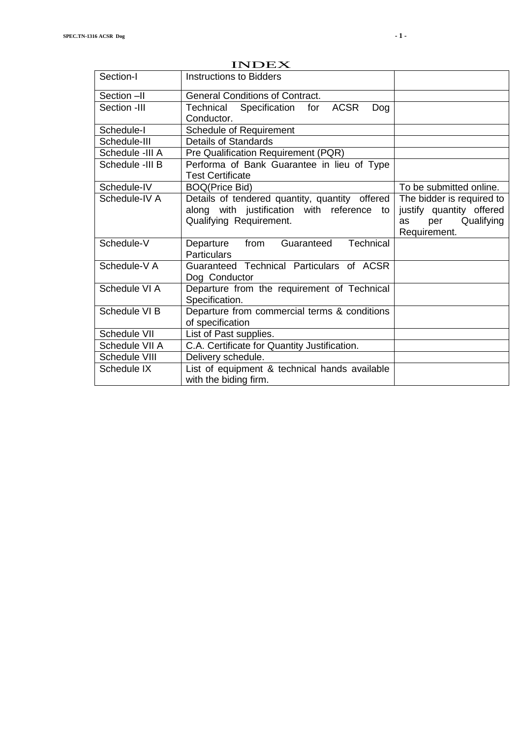|                 | ハマレヒス                                                                                                                   |                                                                                                  |  |
|-----------------|-------------------------------------------------------------------------------------------------------------------------|--------------------------------------------------------------------------------------------------|--|
| Section-I       | <b>Instructions to Bidders</b>                                                                                          |                                                                                                  |  |
| Section -II     | <b>General Conditions of Contract.</b>                                                                                  |                                                                                                  |  |
| Section -III    | Technical Specification for ACSR<br>Dog<br>Conductor.                                                                   |                                                                                                  |  |
| Schedule-I      | Schedule of Requirement                                                                                                 |                                                                                                  |  |
| Schedule-III    | <b>Details of Standards</b>                                                                                             |                                                                                                  |  |
| Schedule -III A | Pre Qualification Requirement (PQR)                                                                                     |                                                                                                  |  |
| Schedule -III B | Performa of Bank Guarantee in lieu of Type<br><b>Test Certificate</b>                                                   |                                                                                                  |  |
| Schedule-IV     | <b>BOQ(Price Bid)</b>                                                                                                   | To be submitted online.                                                                          |  |
| Schedule-IV A   | Details of tendered quantity, quantity offered<br>along with justification with reference to<br>Qualifying Requirement. | The bidder is required to<br>justify quantity offered<br>Qualifying<br>per<br>as<br>Requirement. |  |
| Schedule-V      | Departure from Guaranteed Technical<br><b>Particulars</b>                                                               |                                                                                                  |  |
| Schedule-V A    | Guaranteed Technical Particulars of ACSR<br>Dog Conductor                                                               |                                                                                                  |  |
| Schedule VI A   | Departure from the requirement of Technical<br>Specification.                                                           |                                                                                                  |  |
| Schedule VI B   | Departure from commercial terms & conditions<br>of specification                                                        |                                                                                                  |  |
| Schedule VII    | List of Past supplies.                                                                                                  |                                                                                                  |  |
| Schedule VII A  | C.A. Certificate for Quantity Justification.                                                                            |                                                                                                  |  |
| Schedule VIII   | Delivery schedule.                                                                                                      |                                                                                                  |  |
| Schedule IX     | List of equipment & technical hands available                                                                           |                                                                                                  |  |
|                 | with the biding firm.                                                                                                   |                                                                                                  |  |

INDEX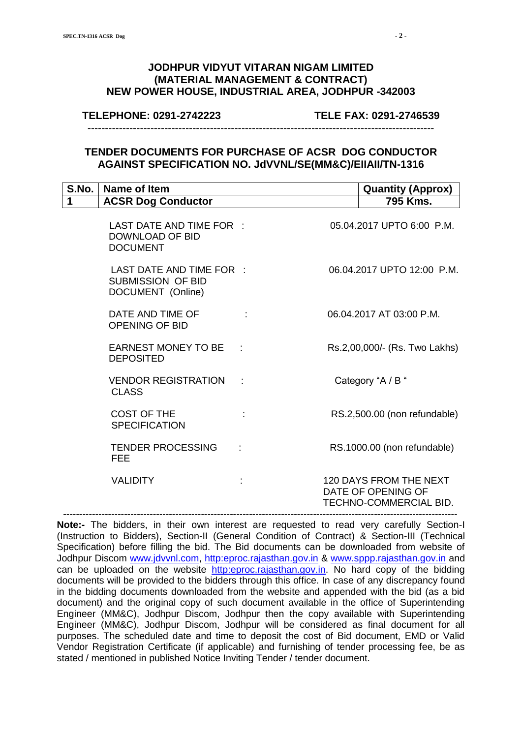#### **JODHPUR VIDYUT VITARAN NIGAM LIMITED (MATERIAL MANAGEMENT & CONTRACT) NEW POWER HOUSE, INDUSTRIAL AREA, JODHPUR -342003**

#### **TELEPHONE: 0291-2742223 TELE FAX: 0291-2746539**

---------------------------------------------------------------------------------------------------

#### **TENDER DOCUMENTS FOR PURCHASE OF ACSR DOG CONDUCTOR AGAINST SPECIFICATION NO. JdVVNL/SE(MM&C)/EIIAII/TN-1316**

| S.No. | Name of Item                                                              |  | <b>Quantity (Approx)</b>                                                      |
|-------|---------------------------------------------------------------------------|--|-------------------------------------------------------------------------------|
| 1     | <b>ACSR Dog Conductor</b>                                                 |  | 795 Kms.                                                                      |
|       | LAST DATE AND TIME FOR :<br>DOWNLOAD OF BID<br><b>DOCUMENT</b>            |  | 05.04.2017 UPTO 6:00 P.M.                                                     |
|       | LAST DATE AND TIME FOR :<br><b>SUBMISSION OF BID</b><br>DOCUMENT (Online) |  | 06.04.2017 UPTO 12:00 P.M.                                                    |
|       | DATE AND TIME OF<br><b>OPENING OF BID</b>                                 |  | 06.04.2017 AT 03:00 P.M.                                                      |
|       | EARNEST MONEY TO BE :<br><b>DEPOSITED</b>                                 |  | Rs.2,00,000/- (Rs. Two Lakhs)                                                 |
|       | <b>VENDOR REGISTRATION</b><br><b>CLASS</b>                                |  | Category "A / B "                                                             |
|       | <b>COST OF THE</b><br><b>SPECIFICATION</b>                                |  | RS.2,500.00 (non refundable)                                                  |
|       | <b>TENDER PROCESSING</b><br><b>FEE</b>                                    |  | RS.1000.00 (non refundable)                                                   |
|       | <b>VALIDITY</b>                                                           |  | <b>120 DAYS FROM THE NEXT</b><br>DATE OF OPENING OF<br>TECHNO-COMMERCIAL BID. |

**Note:-** The bidders, in their own interest are requested to read very carefully Section-I (Instruction to Bidders), Section-II (General Condition of Contract) & Section-III (Technical Specification) before filling the bid. The Bid documents can be downloaded from website of Jodhpur Discom [www.jdvvnl.com,](http://www.jdvvnl.com/) [http:eproc.rajasthan.gov.in](Specs%20Section-III%20.doc) & [www.sppp.rajasthan.gov.in](http://www.sppp.rajasthan.gov.in/) and can be uploaded on the website [http:eproc.rajasthan.gov.in.](file:\\192.168.16.65\sk%20bhati%20sir\d\S%20K%20Bhati%20c%20drive\ss\SKB\Bhati-08\TN-937%20Onwards%20(2013-14)\TN-943%2033%20KV%20Pin%20Insulator\Specs%20Section-III%20.doc) No hard copy of the bidding documents will be provided to the bidders through this office. In case of any discrepancy found in the bidding documents downloaded from the website and appended with the bid (as a bid document) and the original copy of such document available in the office of Superintending Engineer (MM&C), Jodhpur Discom, Jodhpur then the copy available with Superintending Engineer (MM&C), Jodhpur Discom, Jodhpur will be considered as final document for all purposes. The scheduled date and time to deposit the cost of Bid document, EMD or Valid Vendor Registration Certificate (if applicable) and furnishing of tender processing fee, be as stated / mentioned in published Notice Inviting Tender / tender document.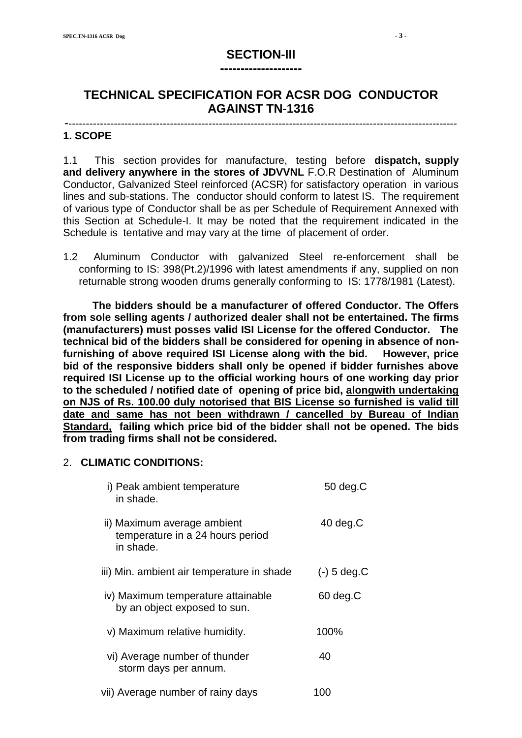# **SECTION-III --------------------**

# **TECHNICAL SPECIFICATION FOR ACSR DOG CONDUCTOR AGAINST TN-1316**

#### ---------------------------------------------------------------------------------------------------------------- **1. SCOPE**

1.1 This section provides for manufacture, testing before **dispatch, supply and delivery anywhere in the stores of JDVVNL** F.O.R Destination of Aluminum Conductor, Galvanized Steel reinforced (ACSR) for satisfactory operation in various lines and sub-stations. The conductor should conform to latest IS. The requirement of various type of Conductor shall be as per Schedule of Requirement Annexed with this Section at Schedule-I. It may be noted that the requirement indicated in the Schedule is tentative and may vary at the time of placement of order.

1.2 Aluminum Conductor with galvanized Steel re-enforcement shall be conforming to IS: 398(Pt.2)/1996 with latest amendments if any, supplied on non returnable strong wooden drums generally conforming to IS: 1778/1981 (Latest).

 **The bidders should be a manufacturer of offered Conductor. The Offers from sole selling agents / authorized dealer shall not be entertained. The firms (manufacturers) must posses valid ISI License for the offered Conductor. The technical bid of the bidders shall be considered for opening in absence of nonfurnishing of above required ISI License along with the bid. However, price bid of the responsive bidders shall only be opened if bidder furnishes above required ISI License up to the official working hours of one working day prior to the scheduled / notified date of opening of price bid, alongwith undertaking on NJS of Rs. 100.00 duly notorised that BIS License so furnished is valid till date and same has not been withdrawn / cancelled by Bureau of Indian Standard, failing which price bid of the bidder shall not be opened. The bids from trading firms shall not be considered.**

#### 2. **CLIMATIC CONDITIONS:**

| i) Peak ambient temperature<br>in shade.                                     | $50 \text{ deg}$ . $C$ |
|------------------------------------------------------------------------------|------------------------|
| ii) Maximum average ambient<br>temperature in a 24 hours period<br>in shade. | $40$ deg.C             |
| iii) Min. ambient air temperature in shade                                   | $(-)$ 5 deg.C          |
| iv) Maximum temperature attainable<br>by an object exposed to sun.           | $60 \text{ deg}$ . $C$ |
| v) Maximum relative humidity.                                                | 100%                   |
| vi) Average number of thunder<br>storm days per annum.                       | 40                     |
| vii) Average number of rainy days                                            | 100                    |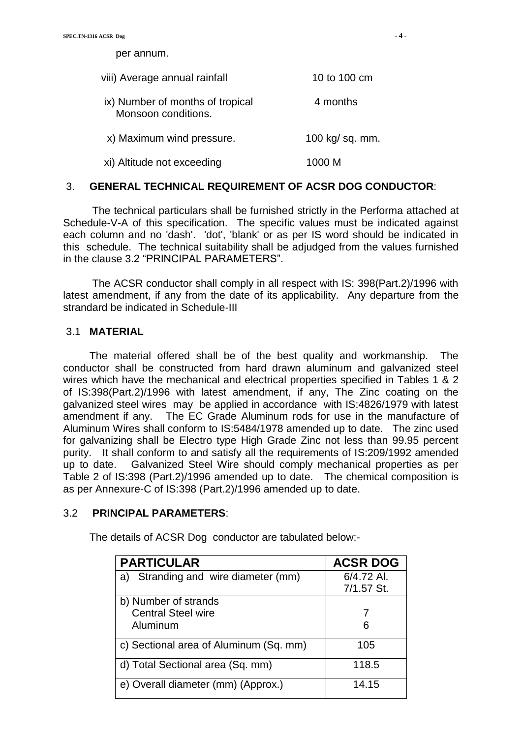per annum. viii) Average annual rainfall 10 to 100 cm ix) Number of months of tropical 4 months Monsoon conditions. x) Maximum wind pressure. 100 kg/ sq. mm.

xi) Altitude not exceeding 1000 M

#### 3. **GENERAL TECHNICAL REQUIREMENT OF ACSR DOG CONDUCTOR**:

 The technical particulars shall be furnished strictly in the Performa attached at Schedule-V-A of this specification. The specific values must be indicated against each column and no 'dash'. 'dot', 'blank' or as per IS word should be indicated in this schedule. The technical suitability shall be adjudged from the values furnished in the clause 3.2 "PRINCIPAL PARAMETERS".

 The ACSR conductor shall comply in all respect with IS: 398(Part.2)/1996 with latest amendment, if any from the date of its applicability. Any departure from the strandard be indicated in Schedule-III

#### 3.1 **MATERIAL**

 The material offered shall be of the best quality and workmanship. The conductor shall be constructed from hard drawn aluminum and galvanized steel wires which have the mechanical and electrical properties specified in Tables 1 & 2 of IS:398(Part.2)/1996 with latest amendment, if any, The Zinc coating on the galvanized steel wires may be applied in accordance with IS:4826/1979 with latest amendment if any. The EC Grade Aluminum rods for use in the manufacture of Aluminum Wires shall conform to IS:5484/1978 amended up to date. The zinc used for galvanizing shall be Electro type High Grade Zinc not less than 99.95 percent purity. It shall conform to and satisfy all the requirements of IS:209/1992 amended up to date. Galvanized Steel Wire should comply mechanical properties as per Table 2 of IS:398 (Part.2)/1996 amended up to date. The chemical composition is as per Annexure-C of IS:398 (Part.2)/1996 amended up to date.

#### 3.2 **PRINCIPAL PARAMETERS**:

The details of ACSR Dog conductor are tabulated below:-

| <b>PARTICULAR</b>                      | <b>ACSR DOG</b> |
|----------------------------------------|-----------------|
| Stranding and wire diameter (mm)<br>a) | 6/4.72 Al.      |
|                                        | 7/1.57 St.      |
| b) Number of strands                   |                 |
| <b>Central Steel wire</b>              |                 |
| Aluminum                               | 6               |
| c) Sectional area of Aluminum (Sq. mm) | 105             |
| d) Total Sectional area (Sq. mm)       | 118.5           |
| e) Overall diameter (mm) (Approx.)     | 14.15           |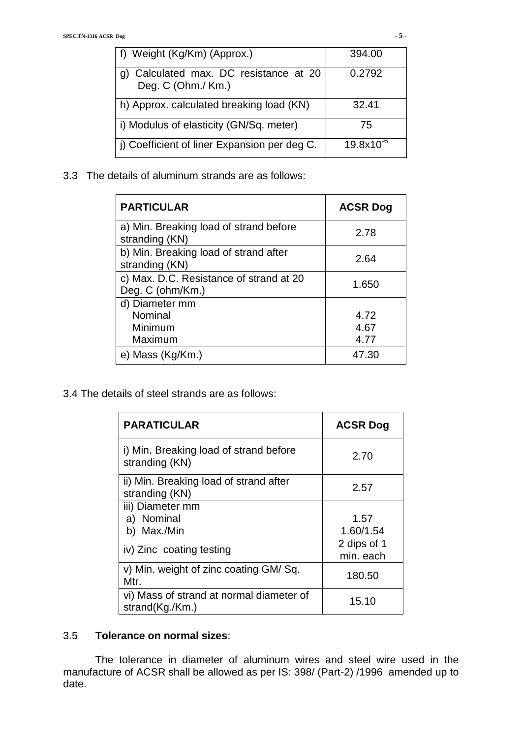| f) Weight (Kg/Km) (Approx.)                                  | 394.00         |
|--------------------------------------------------------------|----------------|
| g) Calculated max. DC resistance at 20<br>Deg. C (Ohm./ Km.) | 0.2792         |
| h) Approx. calculated breaking load (KN)                     | 32.41          |
| i) Modulus of elasticity (GN/Sq. meter)                      | 75             |
| j) Coefficient of liner Expansion per deg C.                 | $19.8x10^{-6}$ |

3.3 The details of aluminum strands are as follows:

| <b>PARTICULAR</b>                                           | <b>ACSR Dog</b> |
|-------------------------------------------------------------|-----------------|
| a) Min. Breaking load of strand before<br>stranding (KN)    | 2.78            |
| b) Min. Breaking load of strand after<br>stranding (KN)     | 2.64            |
| c) Max. D.C. Resistance of strand at 20<br>Deg. C (ohm/Km.) | 1.650           |
| d) Diameter mm                                              |                 |
| Nominal                                                     | 4.72            |
| Minimum                                                     | 4.67            |
| Maximum                                                     | 4.77            |
| e) Mass (Kg/Km.)                                            | 47.30           |

3.4 The details of steel strands are as follows:

| <b>PARATICULAR</b>                                          | <b>ACSR Dog</b>          |
|-------------------------------------------------------------|--------------------------|
| i) Min. Breaking load of strand before<br>stranding (KN)    | 2.70                     |
| ii) Min. Breaking load of strand after<br>stranding (KN)    | 2.57                     |
| iii) Diameter mm<br>a) Nominal<br>Max./Min<br>b)            | 1.57<br>1.60/1.54        |
| iv) Zinc coating testing                                    | 2 dips of 1<br>min. each |
| v) Min. weight of zinc coating GM/Sq.<br>Mtr.               | 180.50                   |
| vi) Mass of strand at normal diameter of<br>strand(Kg./Km.) | 15.10                    |

#### 3.5 **Tolerance on normal sizes**:

 The tolerance in diameter of aluminum wires and steel wire used in the manufacture of ACSR shall be allowed as per IS: 398/ (Part-2) /1996 amended up to date.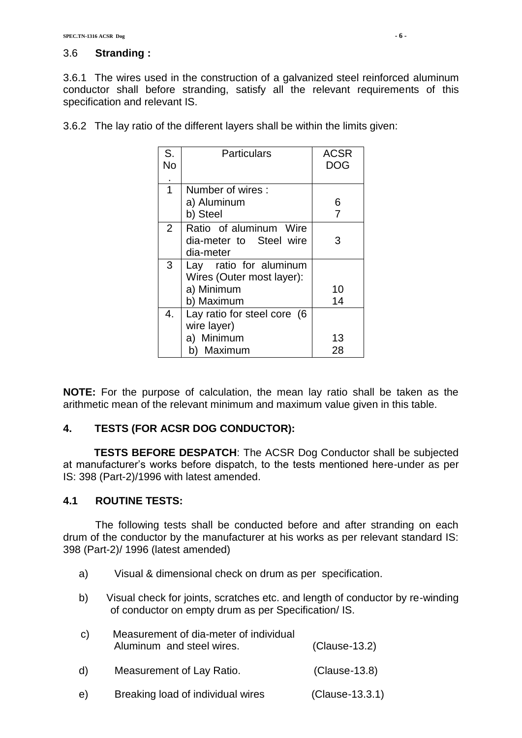#### 3.6 **Stranding :**

3.6.1 The wires used in the construction of a galvanized steel reinforced aluminum conductor shall before stranding, satisfy all the relevant requirements of this specification and relevant IS.

| S.<br>No       | <b>Particulars</b>                                             | <b>ACSR</b><br><b>DOG</b> |
|----------------|----------------------------------------------------------------|---------------------------|
| $\overline{1}$ | Number of wires:                                               |                           |
|                | a) Aluminum                                                    | 6                         |
|                | b) Steel                                                       | 7                         |
| 2              | Ratio of aluminum Wire<br>dia-meter to Steel wire<br>dia-meter | 3                         |
| 3              | Lay ratio for aluminum                                         |                           |
|                | Wires (Outer most layer):                                      |                           |
|                | a) Minimum                                                     | 10                        |
|                | b) Maximum                                                     | 14                        |
| 4.             | Lay ratio for steel core (6                                    |                           |
|                | wire layer)                                                    |                           |
|                | a) Minimum                                                     | 13                        |
|                | Maximum<br>b)                                                  | 28                        |

3.6.2 The lay ratio of the different layers shall be within the limits given:

**NOTE:** For the purpose of calculation, the mean lay ratio shall be taken as the arithmetic mean of the relevant minimum and maximum value given in this table.

#### **4. TESTS (FOR ACSR DOG CONDUCTOR):**

**TESTS BEFORE DESPATCH**: The ACSR Dog Conductor shall be subjected at manufacturer"s works before dispatch, to the tests mentioned here-under as per IS: 398 (Part-2)/1996 with latest amended.

#### **4.1 ROUTINE TESTS:**

The following tests shall be conducted before and after stranding on each drum of the conductor by the manufacturer at his works as per relevant standard IS: 398 (Part-2)/ 1996 (latest amended)

- a) Visual & dimensional check on drum as per specification.
- b) Visual check for joints, scratches etc. and length of conductor by re-winding of conductor on empty drum as per Specification/ IS.

| C) | Measurement of dia-meter of individual<br>Aluminum and steel wires. | $(Clause-13.2)$ |
|----|---------------------------------------------------------------------|-----------------|
| d) | Measurement of Lay Ratio.                                           | $(Clause-13.8)$ |

e) Breaking load of individual wires (Clause-13.3.1)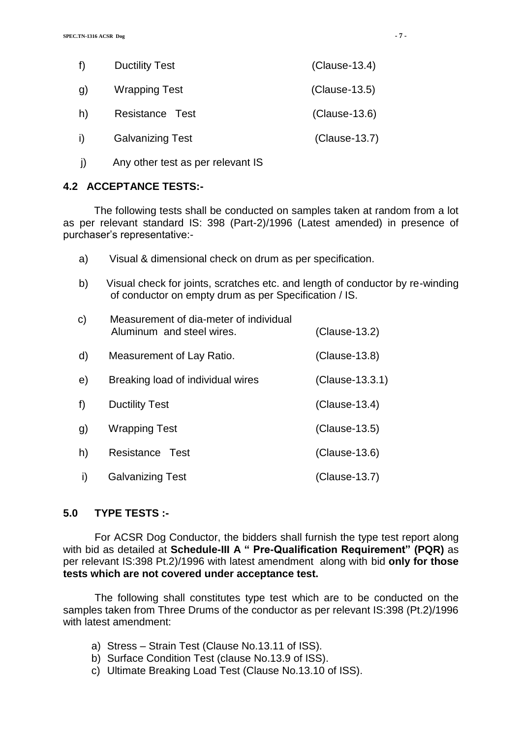| f              | <b>Ductility Test</b>   | $(Clause-13.4)$ |
|----------------|-------------------------|-----------------|
| $\mathfrak{g}$ | <b>Wrapping Test</b>    | $(Clause-13.5)$ |
| h)             | Resistance Test         | (Clause-13.6)   |
| i)             | <b>Galvanizing Test</b> | $(Clause-13.7)$ |

*j* Any other test as per relevant IS

#### **4.2 ACCEPTANCE TESTS:-**

The following tests shall be conducted on samples taken at random from a lot as per relevant standard IS: 398 (Part-2)/1996 (Latest amended) in presence of purchaser"s representative:-

- a) Visual & dimensional check on drum as per specification.
- b) Visual check for joints, scratches etc. and length of conductor by re-winding of conductor on empty drum as per Specification / IS.

| C) | Measurement of dia-meter of individual<br>Aluminum and steel wires. | $(Clause-13.2)$ |
|----|---------------------------------------------------------------------|-----------------|
| d) | Measurement of Lay Ratio.                                           | $(Clause-13.8)$ |
| e) | Breaking load of individual wires                                   | (Clause-13.3.1) |
| f) | <b>Ductility Test</b>                                               | $(Clause-13.4)$ |
| g) | Wrapping Test                                                       | (Clause-13.5)   |
| h) | Resistance<br>Test                                                  | (Clause-13.6)   |
| i) | <b>Galvanizing Test</b>                                             | (Clause-13.7)   |

#### **5.0 TYPE TESTS :-**

For ACSR Dog Conductor, the bidders shall furnish the type test report along with bid as detailed at **Schedule-III A " Pre-Qualification Requirement" (PQR)** as per relevant IS:398 Pt.2)/1996 with latest amendment along with bid **only for those tests which are not covered under acceptance test.**

The following shall constitutes type test which are to be conducted on the samples taken from Three Drums of the conductor as per relevant IS:398 (Pt.2)/1996 with latest amendment:

- a) Stress Strain Test (Clause No.13.11 of ISS).
- b) Surface Condition Test (clause No.13.9 of ISS).
- c) Ultimate Breaking Load Test (Clause No.13.10 of ISS).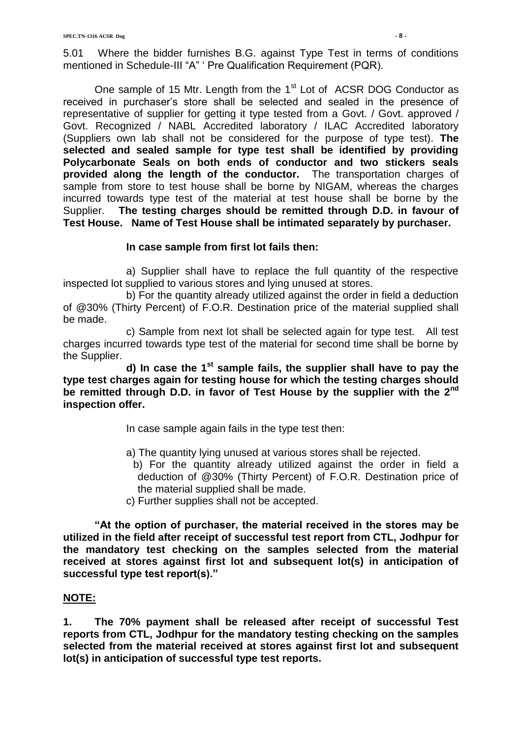5.01 Where the bidder furnishes B.G. against Type Test in terms of conditions mentioned in Schedule-III "A" " Pre Qualification Requirement (PQR).

One sample of 15 Mtr. Length from the  $1<sup>st</sup>$  Lot of ACSR DOG Conductor as received in purchaser"s store shall be selected and sealed in the presence of representative of supplier for getting it type tested from a Govt. / Govt. approved / Govt. Recognized / NABL Accredited laboratory / ILAC Accredited laboratory (Suppliers own lab shall not be considered for the purpose of type test). **The selected and sealed sample for type test shall be identified by providing Polycarbonate Seals on both ends of conductor and two stickers seals provided along the length of the conductor.** The transportation charges of sample from store to test house shall be borne by NIGAM, whereas the charges incurred towards type test of the material at test house shall be borne by the Supplier. **The testing charges should be remitted through D.D. in favour of Test House. Name of Test House shall be intimated separately by purchaser.**

#### **In case sample from first lot fails then:**

a) Supplier shall have to replace the full quantity of the respective inspected lot supplied to various stores and lying unused at stores.

b) For the quantity already utilized against the order in field a deduction of @30% (Thirty Percent) of F.O.R. Destination price of the material supplied shall be made.

c) Sample from next lot shall be selected again for type test. All test charges incurred towards type test of the material for second time shall be borne by the Supplier.

**d) In case the 1st sample fails, the supplier shall have to pay the type test charges again for testing house for which the testing charges should be remitted through D.D. in favor of Test House by the supplier with the 2nd inspection offer.**

- In case sample again fails in the type test then:
- a) The quantity lying unused at various stores shall be rejected.
- b) For the quantity already utilized against the order in field a deduction of @30% (Thirty Percent) of F.O.R. Destination price of the material supplied shall be made.
- c) Further supplies shall not be accepted.

**"At the option of purchaser, the material received in the stores may be utilized in the field after receipt of successful test report from CTL, Jodhpur for the mandatory test checking on the samples selected from the material received at stores against first lot and subsequent lot(s) in anticipation of successful type test report(s)."**

## **NOTE:**

**1. The 70% payment shall be released after receipt of successful Test reports from CTL, Jodhpur for the mandatory testing checking on the samples selected from the material received at stores against first lot and subsequent lot(s) in anticipation of successful type test reports.**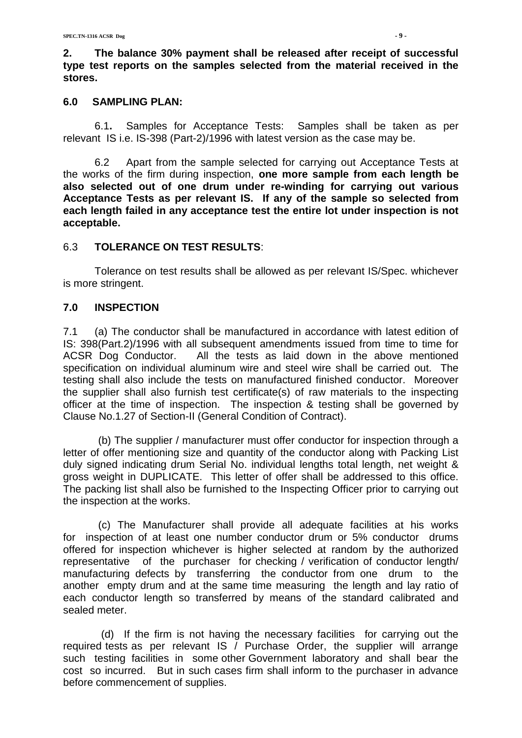**2. The balance 30% payment shall be released after receipt of successful type test reports on the samples selected from the material received in the stores.**

#### **6.0 SAMPLING PLAN:**

6.1**.** Samples for Acceptance Tests: Samples shall be taken as per relevant IS i.e. IS-398 (Part-2)/1996 with latest version as the case may be.

6.2 Apart from the sample selected for carrying out Acceptance Tests at the works of the firm during inspection, **one more sample from each length be also selected out of one drum under re-winding for carrying out various Acceptance Tests as per relevant IS. If any of the sample so selected from each length failed in any acceptance test the entire lot under inspection is not acceptable.**

#### 6.3 **TOLERANCE ON TEST RESULTS**:

Tolerance on test results shall be allowed as per relevant IS/Spec. whichever is more stringent.

#### **7.0 INSPECTION**

7.1 (a) The conductor shall be manufactured in accordance with latest edition of IS: 398(Part.2)/1996 with all subsequent amendments issued from time to time for ACSR Dog Conductor. All the tests as laid down in the above mentioned specification on individual aluminum wire and steel wire shall be carried out. The testing shall also include the tests on manufactured finished conductor. Moreover the supplier shall also furnish test certificate(s) of raw materials to the inspecting officer at the time of inspection. The inspection & testing shall be governed by Clause No.1.27 of Section-II (General Condition of Contract).

 (b) The supplier / manufacturer must offer conductor for inspection through a letter of offer mentioning size and quantity of the conductor along with Packing List duly signed indicating drum Serial No. individual lengths total length, net weight & gross weight in DUPLICATE. This letter of offer shall be addressed to this office. The packing list shall also be furnished to the Inspecting Officer prior to carrying out the inspection at the works.

 (c) The Manufacturer shall provide all adequate facilities at his works for inspection of at least one number conductor drum or 5% conductor drums offered for inspection whichever is higher selected at random by the authorized representative of the purchaser for checking / verification of conductor length/ manufacturing defects by transferring the conductor from one drum to the another empty drum and at the same time measuring the length and lay ratio of each conductor length so transferred by means of the standard calibrated and sealed meter.

 (d) If the firm is not having the necessary facilities for carrying out the required tests as per relevant IS / Purchase Order, the supplier will arrange such testing facilities in some other Government laboratory and shall bear the cost so incurred. But in such cases firm shall inform to the purchaser in advance before commencement of supplies.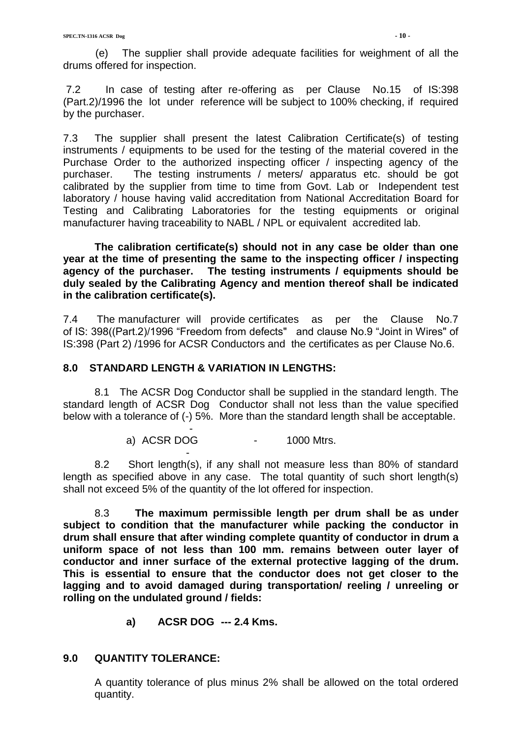(e) The supplier shall provide adequate facilities for weighment of all the drums offered for inspection.

7.2 In case of testing after re-offering as per Clause No.15 of IS:398 (Part.2)/1996 the lot under reference will be subject to 100% checking, if required by the purchaser.

7.3 The supplier shall present the latest Calibration Certificate(s) of testing instruments / equipments to be used for the testing of the material covered in the Purchase Order to the authorized inspecting officer / inspecting agency of the purchaser. The testing instruments / meters/ apparatus etc. should be got calibrated by the supplier from time to time from Govt. Lab or Independent test laboratory / house having valid accreditation from National Accreditation Board for Testing and Calibrating Laboratories for the testing equipments or original manufacturer having traceability to NABL / NPL or equivalent accredited lab.

**The calibration certificate(s) should not in any case be older than one year at the time of presenting the same to the inspecting officer / inspecting agency of the purchaser. The testing instruments / equipments should be duly sealed by the Calibrating Agency and mention thereof shall be indicated in the calibration certificate(s).**

7.4 The manufacturer will provide certificates as per the Clause No.7 of IS: 398((Part.2)/1996 "Freedom from defects" and clause No.9 "Joint in Wires" of IS:398 (Part 2) /1996 for ACSR Conductors and the certificates as per Clause No.6.

#### **8.0 STANDARD LENGTH & VARIATION IN LENGTHS:**

-

 $\sim$  -  $\sim$   $\sim$   $\sim$ 

8.1 The ACSR Dog Conductor shall be supplied in the standard length. The standard length of ACSR Dog Conductor shall not less than the value specified below with a tolerance of (-) 5%. More than the standard length shall be acceptable.

a) ACSR DOG - 1000 Mtrs.

8.2 Short length(s), if any shall not measure less than 80% of standard length as specified above in any case. The total quantity of such short length(s) shall not exceed 5% of the quantity of the lot offered for inspection.

8.3 **The maximum permissible length per drum shall be as under subject to condition that the manufacturer while packing the conductor in drum shall ensure that after winding complete quantity of conductor in drum a uniform space of not less than 100 mm. remains between outer layer of conductor and inner surface of the external protective lagging of the drum. This is essential to ensure that the conductor does not get closer to the lagging and to avoid damaged during transportation/ reeling / unreeling or rolling on the undulated ground / fields:**

**a) ACSR DOG --- 2.4 Kms.**

#### **9.0 QUANTITY TOLERANCE:**

A quantity tolerance of plus minus 2% shall be allowed on the total ordered quantity.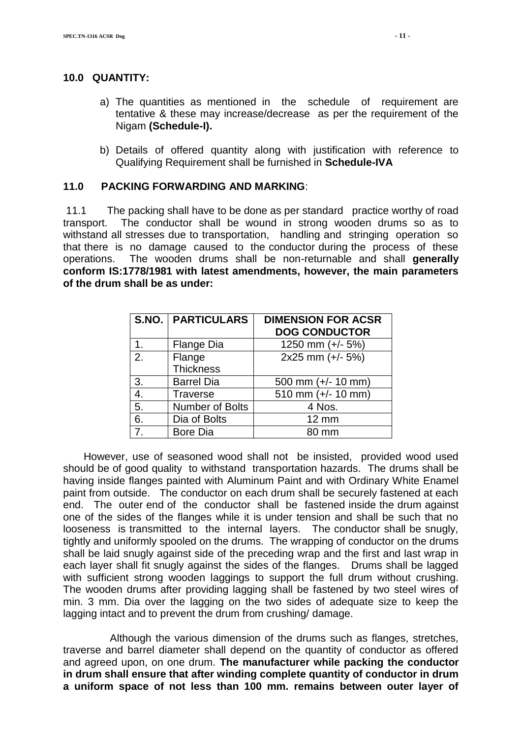#### **10.0 QUANTITY:**

- a) The quantities as mentioned in the schedule of requirement are tentative & these may increase/decrease as per the requirement of the Nigam **(Schedule-I).**
- b) Details of offered quantity along with justification with reference to Qualifying Requirement shall be furnished in **Schedule-IVA**

#### **11.0 PACKING FORWARDING AND MARKING**:

11.1 The packing shall have to be done as per standard practice worthy of road transport. The conductor shall be wound in strong wooden drums so as to withstand all stresses due to transportation, handling and stringing operation so that there is no damage caused to the conductor during the process of these operations. The wooden drums shall be non-returnable and shall **generally conform IS:1778/1981 with latest amendments, however, the main parameters of the drum shall be as under:**

|    | <b>S.NO.   PARTICULARS</b> | <b>DIMENSION FOR ACSR</b><br><b>DOG CONDUCTOR</b> |
|----|----------------------------|---------------------------------------------------|
| 1. | Flange Dia                 | 1250 mm (+/- 5%)                                  |
| 2. | Flange<br><b>Thickness</b> | 2x25 mm (+/- 5%)                                  |
| 3. | <b>Barrel Dia</b>          | 500 mm (+/- 10 mm)                                |
| 4. | <b>Traverse</b>            | 510 mm (+/- 10 mm)                                |
| 5. | Number of Bolts            | 4 Nos.                                            |
| 6. | Dia of Bolts               | $12 \text{ mm}$                                   |
| 7  | <b>Bore Dia</b>            | mm                                                |

 However, use of seasoned wood shall not be insisted, provided wood used should be of good quality to withstand transportation hazards. The drums shall be having inside flanges painted with Aluminum Paint and with Ordinary White Enamel paint from outside. The conductor on each drum shall be securely fastened at each end. The outer end of the conductor shall be fastened inside the drum against one of the sides of the flanges while it is under tension and shall be such that no looseness is transmitted to the internal layers. The conductor shall be snugly, tightly and uniformly spooled on the drums. The wrapping of conductor on the drums shall be laid snugly against side of the preceding wrap and the first and last wrap in each layer shall fit snugly against the sides of the flanges. Drums shall be lagged with sufficient strong wooden laggings to support the full drum without crushing. The wooden drums after providing lagging shall be fastened by two steel wires of min. 3 mm. Dia over the lagging on the two sides of adequate size to keep the lagging intact and to prevent the drum from crushing/ damage.

 Although the various dimension of the drums such as flanges, stretches, traverse and barrel diameter shall depend on the quantity of conductor as offered and agreed upon, on one drum. **The manufacturer while packing the conductor in drum shall ensure that after winding complete quantity of conductor in drum a uniform space of not less than 100 mm. remains between outer layer of**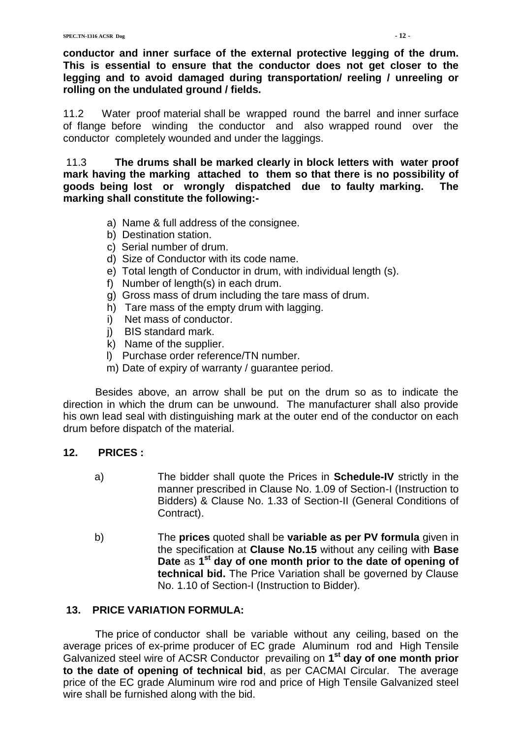**conductor and inner surface of the external protective legging of the drum. This is essential to ensure that the conductor does not get closer to the legging and to avoid damaged during transportation/ reeling / unreeling or rolling on the undulated ground / fields.**

11.2 Water proof material shall be wrapped round the barrel and inner surface of flange before winding the conductor and also wrapped round over the conductor completely wounded and under the laggings.

11.3 **The drums shall be marked clearly in block letters with water proof mark having the marking attached to them so that there is no possibility of goods being lost or wrongly dispatched due to faulty marking. The marking shall constitute the following:-**

- a) Name & full address of the consignee.
- b) Destination station.
- c) Serial number of drum.
- d) Size of Conductor with its code name.
- e) Total length of Conductor in drum, with individual length (s).
- f) Number of length(s) in each drum.
- g) Gross mass of drum including the tare mass of drum.
- h) Tare mass of the empty drum with lagging.
- i) Net mass of conductor.
- j) BIS standard mark.
- k) Name of the supplier.
- l) Purchase order reference/TN number.
- m) Date of expiry of warranty / guarantee period.

 Besides above, an arrow shall be put on the drum so as to indicate the direction in which the drum can be unwound. The manufacturer shall also provide his own lead seal with distinguishing mark at the outer end of the conductor on each drum before dispatch of the material.

#### **12. PRICES :**

- a) The bidder shall quote the Prices in **Schedule-IV** strictly in the manner prescribed in Clause No. 1.09 of Section-I (Instruction to Bidders) & Clause No. 1.33 of Section-II (General Conditions of Contract).
- b) The **prices** quoted shall be **variable as per PV formula** given in the specification at **Clause No.15** without any ceiling with **Base Date** as **1 st day of one month prior to the date of opening of technical bid.** The Price Variation shall be governed by Clause No. 1.10 of Section-I (Instruction to Bidder).

#### **13. PRICE VARIATION FORMULA:**

 The price of conductor shall be variable without any ceiling, based on the average prices of ex-prime producer of EC grade Aluminum rod and High Tensile Galvanized steel wire of ACSR Conductor prevailing on **1 st day of one month prior to the date of opening of technical bid**, as per CACMAI Circular. The average price of the EC grade Aluminum wire rod and price of High Tensile Galvanized steel wire shall be furnished along with the bid.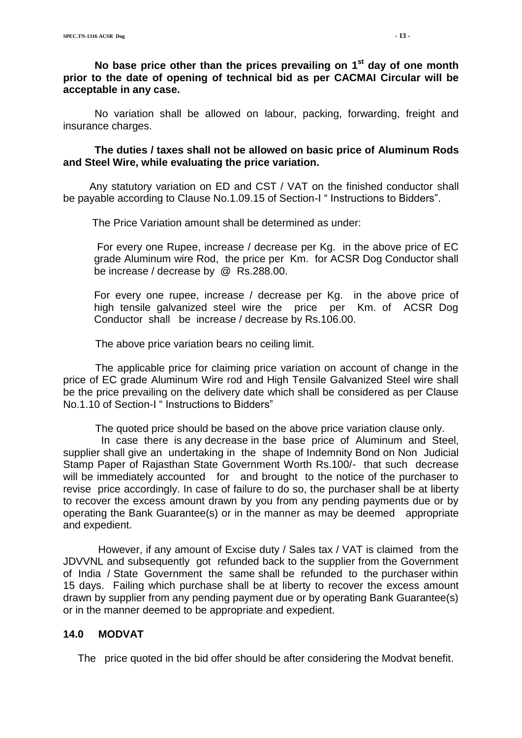**No base price other than the prices prevailing on 1 st day of one month prior to the date of opening of technical bid as per CACMAI Circular will be acceptable in any case.**

No variation shall be allowed on labour, packing, forwarding, freight and insurance charges.

**The duties / taxes shall not be allowed on basic price of Aluminum Rods and Steel Wire, while evaluating the price variation.**

 Any statutory variation on ED and CST / VAT on the finished conductor shall be payable according to Clause No.1.09.15 of Section-I " Instructions to Bidders".

The Price Variation amount shall be determined as under:

For every one Rupee, increase / decrease per Kg. in the above price of EC grade Aluminum wire Rod, the price per Km. for ACSR Dog Conductor shall be increase / decrease by @ Rs.288.00.

For every one rupee, increase / decrease per Kg. in the above price of high tensile galvanized steel wire the price per Km. of ACSR Dog Conductor shall be increase / decrease by Rs.106.00.

The above price variation bears no ceiling limit.

 The applicable price for claiming price variation on account of change in the price of EC grade Aluminum Wire rod and High Tensile Galvanized Steel wire shall be the price prevailing on the delivery date which shall be considered as per Clause No.1.10 of Section-I " Instructions to Bidders"

The quoted price should be based on the above price variation clause only.

 In case there is any decrease in the base price of Aluminum and Steel, supplier shall give an undertaking in the shape of Indemnity Bond on Non Judicial Stamp Paper of Rajasthan State Government Worth Rs.100/- that such decrease will be immediately accounted for and brought to the notice of the purchaser to revise price accordingly. In case of failure to do so, the purchaser shall be at liberty to recover the excess amount drawn by you from any pending payments due or by operating the Bank Guarantee(s) or in the manner as may be deemed appropriate and expedient.

 However, if any amount of Excise duty / Sales tax / VAT is claimed from the JDVVNL and subsequently got refunded back to the supplier from the Government of India / State Government the same shall be refunded to the purchaser within 15 days. Failing which purchase shall be at liberty to recover the excess amount drawn by supplier from any pending payment due or by operating Bank Guarantee(s) or in the manner deemed to be appropriate and expedient.

#### **14.0 MODVAT**

The price quoted in the bid offer should be after considering the Modvat benefit.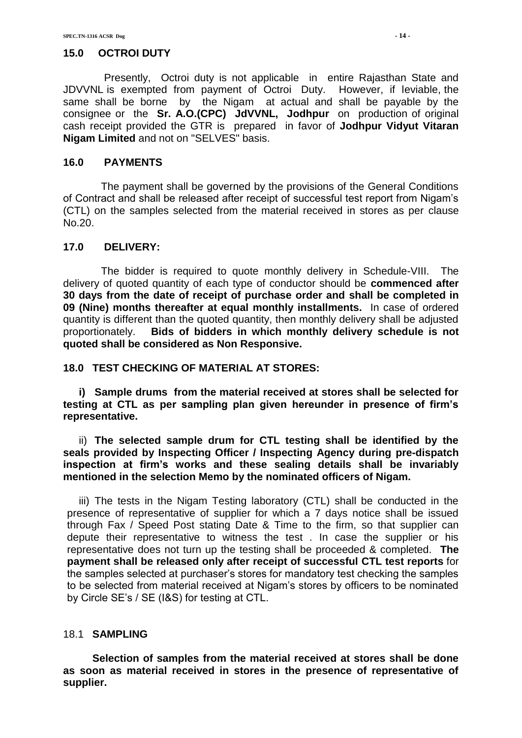#### **15.0 OCTROI DUTY**

 Presently, Octroi duty is not applicable in entire Rajasthan State and JDVVNL is exempted from payment of Octroi Duty. However, if leviable, the same shall be borne by the Nigam at actual and shall be payable by the consignee or the **Sr. A.O.(CPC) JdVVNL, Jodhpur** on production of original cash receipt provided the GTR is prepared in favor of **Jodhpur Vidyut Vitaran Nigam Limited** and not on "SELVES" basis.

#### **16.0 PAYMENTS**

 The payment shall be governed by the provisions of the General Conditions of Contract and shall be released after receipt of successful test report from Nigam"s (CTL) on the samples selected from the material received in stores as per clause No.20.

#### **17.0 DELIVERY:**

 The bidder is required to quote monthly delivery in Schedule-VIII. The delivery of quoted quantity of each type of conductor should be **commenced after 30 days from the date of receipt of purchase order and shall be completed in 09 (Nine) months thereafter at equal monthly installments.** In case of ordered quantity is different than the quoted quantity, then monthly delivery shall be adjusted proportionately. **Bids of bidders in which monthly delivery schedule is not quoted shall be considered as Non Responsive.**

#### **18.0 TEST CHECKING OF MATERIAL AT STORES:**

**i) Sample drums from the material received at stores shall be selected for testing at CTL as per sampling plan given hereunder in presence of firm's representative.**

ii) **The selected sample drum for CTL testing shall be identified by the seals provided by Inspecting Officer / Inspecting Agency during pre-dispatch inspection at firm's works and these sealing details shall be invariably mentioned in the selection Memo by the nominated officers of Nigam.**

iii) The tests in the Nigam Testing laboratory (CTL) shall be conducted in the presence of representative of supplier for which a 7 days notice shall be issued through Fax / Speed Post stating Date & Time to the firm, so that supplier can depute their representative to witness the test . In case the supplier or his representative does not turn up the testing shall be proceeded & completed. **The payment shall be released only after receipt of successful CTL test reports** for the samples selected at purchaser"s stores for mandatory test checking the samples to be selected from material received at Nigam"s stores by officers to be nominated by Circle SE"s / SE (I&S) for testing at CTL.

#### 18.1 **SAMPLING**

 **Selection of samples from the material received at stores shall be done as soon as material received in stores in the presence of representative of supplier.**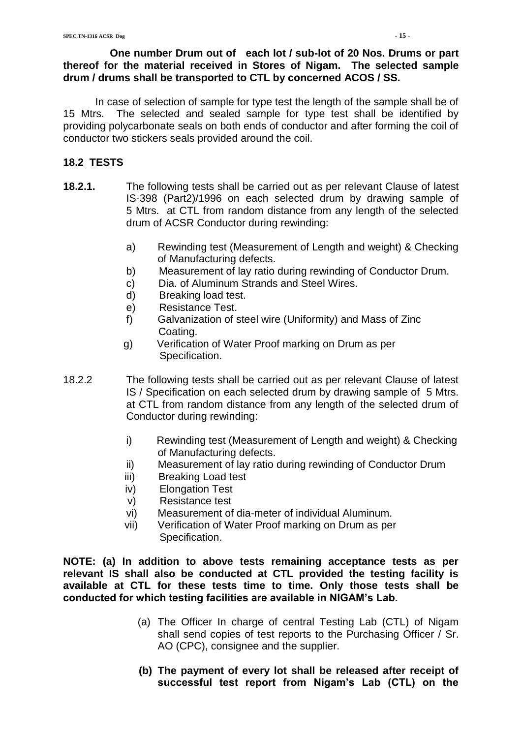#### **One number Drum out of each lot / sub-lot of 20 Nos. Drums or part thereof for the material received in Stores of Nigam. The selected sample drum / drums shall be transported to CTL by concerned ACOS / SS.**

 In case of selection of sample for type test the length of the sample shall be of 15 Mtrs. The selected and sealed sample for type test shall be identified by providing polycarbonate seals on both ends of conductor and after forming the coil of conductor two stickers seals provided around the coil.

### **18.2 TESTS**

- **18.2.1.** The following tests shall be carried out as per relevant Clause of latest IS-398 (Part2)/1996 on each selected drum by drawing sample of 5 Mtrs. at CTL from random distance from any length of the selected drum of ACSR Conductor during rewinding:
	- a) Rewinding test (Measurement of Length and weight) & Checking of Manufacturing defects.
	- b) Measurement of lay ratio during rewinding of Conductor Drum.
	- c) Dia. of Aluminum Strands and Steel Wires.
	- d) Breaking load test.
	- e) Resistance Test.
	- f) Galvanization of steel wire (Uniformity) and Mass of Zinc Coating.
	- g) Verification of Water Proof marking on Drum as per Specification.
- 18.2.2 The following tests shall be carried out as per relevant Clause of latest IS / Specification on each selected drum by drawing sample of 5 Mtrs. at CTL from random distance from any length of the selected drum of Conductor during rewinding:
	- i) Rewinding test (Measurement of Length and weight) & Checking of Manufacturing defects.
	- ii) Measurement of lay ratio during rewinding of Conductor Drum
	- iii) Breaking Load test
	- iv) Elongation Test
	- v) Resistance test
	- vi) Measurement of dia-meter of individual Aluminum.
	- vii) Verification of Water Proof marking on Drum as per Specification.

**NOTE: (a) In addition to above tests remaining acceptance tests as per relevant IS shall also be conducted at CTL provided the testing facility is available at CTL for these tests time to time. Only those tests shall be conducted for which testing facilities are available in NIGAM's Lab.**

- (a) The Officer In charge of central Testing Lab (CTL) of Nigam shall send copies of test reports to the Purchasing Officer / Sr. AO (CPC), consignee and the supplier.
- **(b) The payment of every lot shall be released after receipt of successful test report from Nigam's Lab (CTL) on the**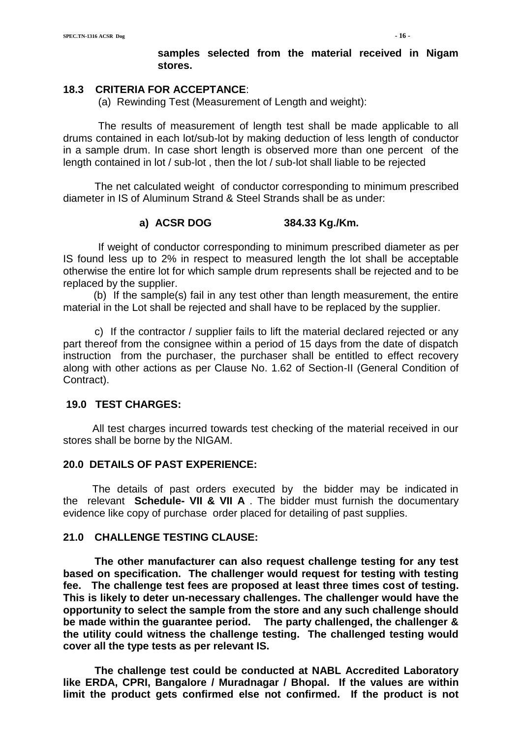#### **samples selected from the material received in Nigam stores.**

#### **18.3 CRITERIA FOR ACCEPTANCE**:

(a) Rewinding Test (Measurement of Length and weight):

 The results of measurement of length test shall be made applicable to all drums contained in each lot/sub-lot by making deduction of less length of conductor in a sample drum. In case short length is observed more than one percent of the length contained in lot / sub-lot , then the lot / sub-lot shall liable to be rejected

The net calculated weight of conductor corresponding to minimum prescribed diameter in IS of Aluminum Strand & Steel Strands shall be as under:

#### **a) ACSR DOG 384.33 Kg./Km.**

 If weight of conductor corresponding to minimum prescribed diameter as per IS found less up to 2% in respect to measured length the lot shall be acceptable otherwise the entire lot for which sample drum represents shall be rejected and to be replaced by the supplier.

 (b) If the sample(s) fail in any test other than length measurement, the entire material in the Lot shall be rejected and shall have to be replaced by the supplier.

c) If the contractor / supplier fails to lift the material declared rejected or any part thereof from the consignee within a period of 15 days from the date of dispatch instruction from the purchaser, the purchaser shall be entitled to effect recovery along with other actions as per Clause No. 1.62 of Section-II (General Condition of Contract).

#### **19.0 TEST CHARGES:**

 All test charges incurred towards test checking of the material received in our stores shall be borne by the NIGAM.

#### **20.0 DETAILS OF PAST EXPERIENCE:**

 The details of past orders executed by the bidder may be indicated in the relevant **Schedule- VII & VII A** . The bidder must furnish the documentary evidence like copy of purchase order placed for detailing of past supplies.

#### **21.0 CHALLENGE TESTING CLAUSE:**

**The other manufacturer can also request challenge testing for any test based on specification. The challenger would request for testing with testing fee. The challenge test fees are proposed at least three times cost of testing. This is likely to deter un-necessary challenges. The challenger would have the opportunity to select the sample from the store and any such challenge should be made within the guarantee period. The party challenged, the challenger & the utility could witness the challenge testing. The challenged testing would cover all the type tests as per relevant IS.**

**The challenge test could be conducted at NABL Accredited Laboratory like ERDA, CPRI, Bangalore / Muradnagar / Bhopal. If the values are within limit the product gets confirmed else not confirmed. If the product is not**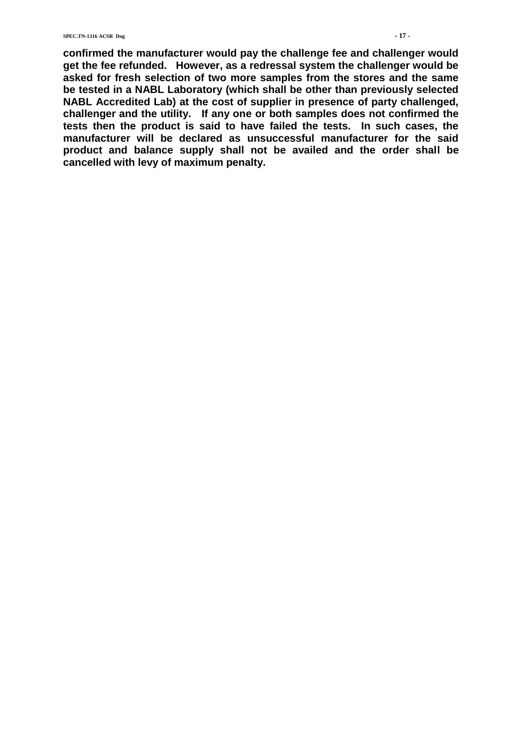**confirmed the manufacturer would pay the challenge fee and challenger would get the fee refunded. However, as a redressal system the challenger would be asked for fresh selection of two more samples from the stores and the same be tested in a NABL Laboratory (which shall be other than previously selected NABL Accredited Lab) at the cost of supplier in presence of party challenged, challenger and the utility. If any one or both samples does not confirmed the tests then the product is said to have failed the tests. In such cases, the manufacturer will be declared as unsuccessful manufacturer for the said product and balance supply shall not be availed and the order shall be cancelled with levy of maximum penalty.**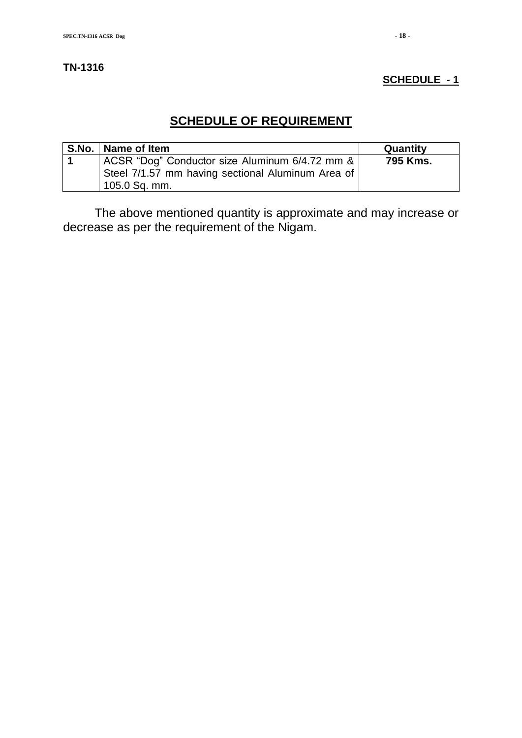#### **TN-1316**

#### **SCHEDULE - 1**

# **SCHEDULE OF REQUIREMENT**

| S.No.   Name of Item                                                                                                 | Quantity |
|----------------------------------------------------------------------------------------------------------------------|----------|
| ACSR "Dog" Conductor size Aluminum 6/4.72 mm &<br>Steel 7/1.57 mm having sectional Aluminum Area of<br>105.0 Sq. mm. | 795 Kms. |

The above mentioned quantity is approximate and may increase or decrease as per the requirement of the Nigam.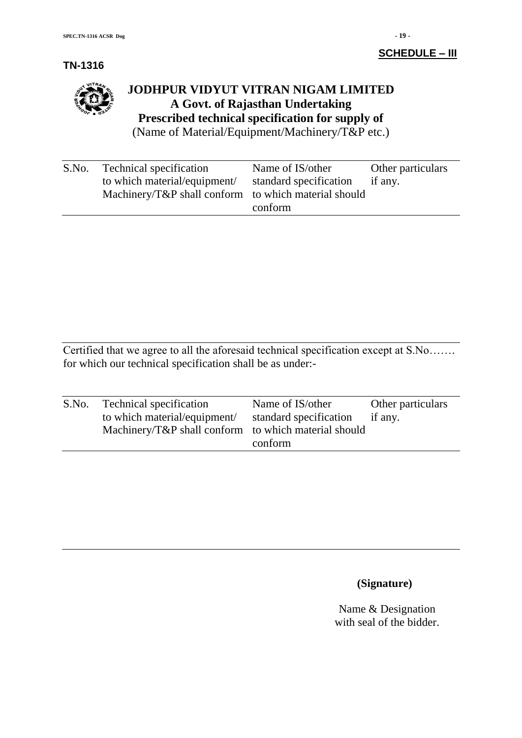**TN-1316**

# **JODHPUR VIDYUT VITRAN NIGAM LIMITED A Govt. of Rajasthan Undertaking Prescribed technical specification for supply of**

(Name of Material/Equipment/Machinery/T&P etc.)

| S.No. | Technical specification                              | Name of IS/other       | Other particulars |
|-------|------------------------------------------------------|------------------------|-------------------|
|       | to which material/equipment/                         | standard specification | if any.           |
|       | Machinery/T&P shall conform to which material should |                        |                   |
|       |                                                      | conform                |                   |

Certified that we agree to all the aforesaid technical specification except at S.No……. for which our technical specification shall be as under:-

| S.No. | <b>Technical specification</b><br>to which material/equipment/<br>Machinery/T&P shall conform to which material should | Name of IS/other<br>standard specification<br>conform | Other particulars<br>if any. |
|-------|------------------------------------------------------------------------------------------------------------------------|-------------------------------------------------------|------------------------------|
|       |                                                                                                                        |                                                       |                              |

# **(Signature)**

Name & Designation with seal of the bidder.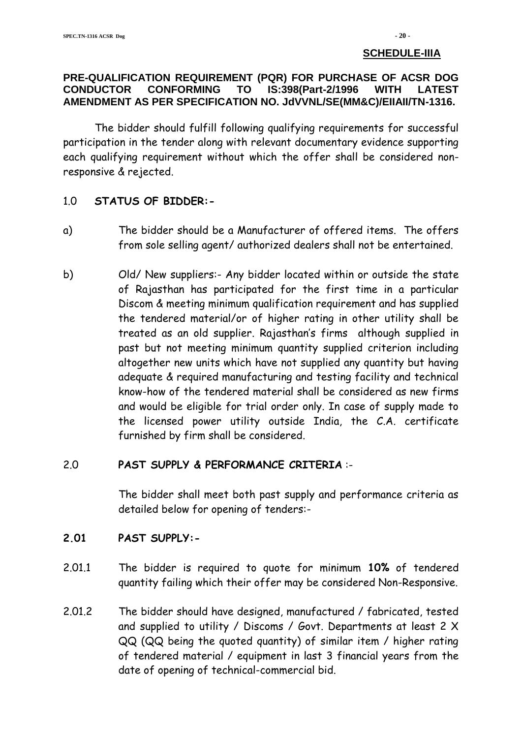#### **SCHEDULE-IIIA**

#### **PRE-QUALIFICATION REQUIREMENT (PQR) FOR PURCHASE OF ACSR DOG CONDUCTOR CONFORMING TO IS:398(Part-2/1996 WITH LATEST AMENDMENT AS PER SPECIFICATION NO. JdVVNL/SE(MM&C)/EIIAII/TN-1316.**

The bidder should fulfill following qualifying requirements for successful participation in the tender along with relevant documentary evidence supporting each qualifying requirement without which the offer shall be considered nonresponsive & rejected.

#### 1.0 **STATUS OF BIDDER:-**

- a) The bidder should be a Manufacturer of offered items. The offers from sole selling agent/ authorized dealers shall not be entertained.
- b) Old/ New suppliers:- Any bidder located within or outside the state of Rajasthan has participated for the first time in a particular Discom & meeting minimum qualification requirement and has supplied the tendered material/or of higher rating in other utility shall be treated as an old supplier. Rajasthan's firms although supplied in past but not meeting minimum quantity supplied criterion including altogether new units which have not supplied any quantity but having adequate & required manufacturing and testing facility and technical know-how of the tendered material shall be considered as new firms and would be eligible for trial order only. In case of supply made to the licensed power utility outside India, the C.A. certificate furnished by firm shall be considered.

#### 2.0 **PAST SUPPLY & PERFORMANCE CRITERIA** :-

The bidder shall meet both past supply and performance criteria as detailed below for opening of tenders:-

#### **2.01 PAST SUPPLY:-**

- 2.01.1 The bidder is required to quote for minimum **10%** of tendered quantity failing which their offer may be considered Non-Responsive.
- 2.01.2 The bidder should have designed, manufactured / fabricated, tested and supplied to utility / Discoms / Govt. Departments at least 2 X QQ (QQ being the quoted quantity) of similar item / higher rating of tendered material / equipment in last 3 financial years from the date of opening of technical-commercial bid.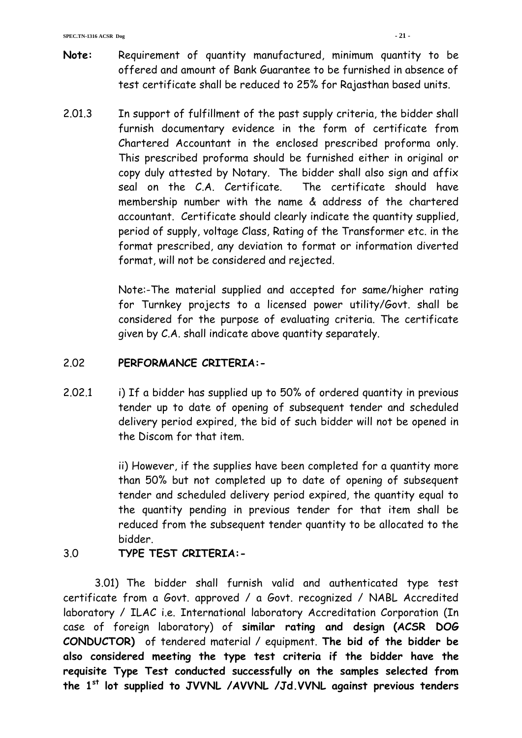- **Note:** Requirement of quantity manufactured, minimum quantity to be offered and amount of Bank Guarantee to be furnished in absence of test certificate shall be reduced to 25% for Rajasthan based units.
- 2.01.3 In support of fulfillment of the past supply criteria, the bidder shall furnish documentary evidence in the form of certificate from Chartered Accountant in the enclosed prescribed proforma only. This prescribed proforma should be furnished either in original or copy duly attested by Notary. The bidder shall also sign and affix seal on the C.A. Certificate. The certificate should have membership number with the name & address of the chartered accountant. Certificate should clearly indicate the quantity supplied, period of supply, voltage Class, Rating of the Transformer etc. in the format prescribed, any deviation to format or information diverted format, will not be considered and rejected.

Note:-The material supplied and accepted for same/higher rating for Turnkey projects to a licensed power utility/Govt. shall be considered for the purpose of evaluating criteria. The certificate given by C.A. shall indicate above quantity separately.

### 2.02 **PERFORMANCE CRITERIA:-**

2.02.1 i) If a bidder has supplied up to 50% of ordered quantity in previous tender up to date of opening of subsequent tender and scheduled delivery period expired, the bid of such bidder will not be opened in the Discom for that item.

> ii) However, if the supplies have been completed for a quantity more than 50% but not completed up to date of opening of subsequent tender and scheduled delivery period expired, the quantity equal to the quantity pending in previous tender for that item shall be reduced from the subsequent tender quantity to be allocated to the bidder.

3.0 **TYPE TEST CRITERIA:-**

3.01) The bidder shall furnish valid and authenticated type test certificate from a Govt. approved / a Govt. recognized / NABL Accredited laboratory / ILAC i.e. International laboratory Accreditation Corporation (In case of foreign laboratory) of **similar rating and design (ACSR DOG CONDUCTOR)** of tendered material / equipment. **The bid of the bidder be also considered meeting the type test criteria if the bidder have the requisite Type Test conducted successfully on the samples selected from the 1st lot supplied to JVVNL /AVVNL /Jd.VVNL against previous tenders**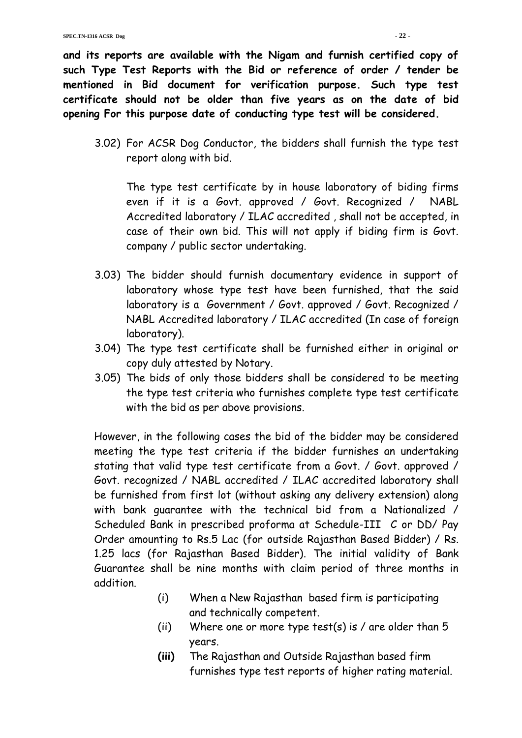**and its reports are available with the Nigam and furnish certified copy of such Type Test Reports with the Bid or reference of order / tender be mentioned in Bid document for verification purpose. Such type test certificate should not be older than five years as on the date of bid opening For this purpose date of conducting type test will be considered.**

3.02) For ACSR Dog Conductor, the bidders shall furnish the type test report along with bid.

The type test certificate by in house laboratory of biding firms even if it is a Govt. approved / Govt. Recognized / NABL Accredited laboratory / ILAC accredited , shall not be accepted, in case of their own bid. This will not apply if biding firm is Govt. company / public sector undertaking.

- 3.03) The bidder should furnish documentary evidence in support of laboratory whose type test have been furnished, that the said laboratory is a Government / Govt. approved / Govt. Recognized / NABL Accredited laboratory / ILAC accredited (In case of foreign laboratory).
- 3.04) The type test certificate shall be furnished either in original or copy duly attested by Notary.
- 3.05) The bids of only those bidders shall be considered to be meeting the type test criteria who furnishes complete type test certificate with the bid as per above provisions.

However, in the following cases the bid of the bidder may be considered meeting the type test criteria if the bidder furnishes an undertaking stating that valid type test certificate from a Govt. / Govt. approved / Govt. recognized / NABL accredited / ILAC accredited laboratory shall be furnished from first lot (without asking any delivery extension) along with bank guarantee with the technical bid from a Nationalized / Scheduled Bank in prescribed proforma at Schedule-III C or DD/ Pay Order amounting to Rs.5 Lac (for outside Rajasthan Based Bidder) / Rs. 1.25 lacs (for Rajasthan Based Bidder). The initial validity of Bank Guarantee shall be nine months with claim period of three months in addition.

- (i) When a New Rajasthan based firm is participating and technically competent.
- (ii) Where one or more type test(s) is  $\ell$  are older than 5 years.
- **(iii)** The Rajasthan and Outside Rajasthan based firm furnishes type test reports of higher rating material.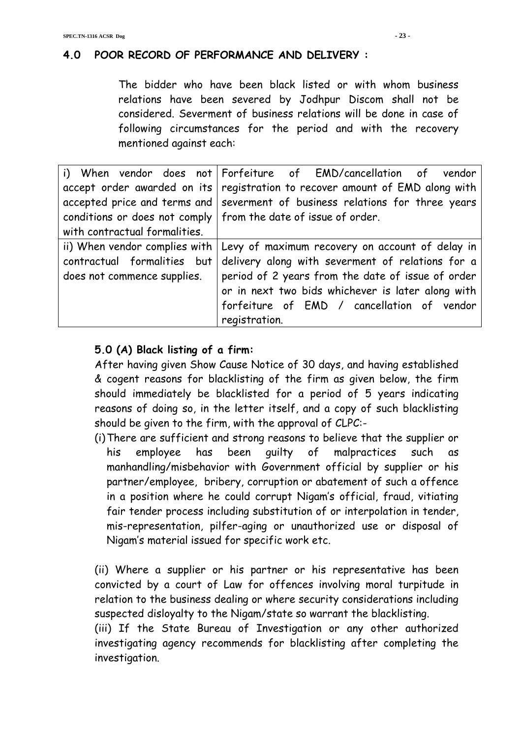# **4.0 POOR RECORD OF PERFORMANCE AND DELIVERY :**

The bidder who have been black listed or with whom business relations have been severed by Jodhpur Discom shall not be considered. Severment of business relations will be done in case of following circumstances for the period and with the recovery mentioned against each:

|                               | i) When vendor does not Forfeiture of EMD/cancellation of vendor               |
|-------------------------------|--------------------------------------------------------------------------------|
|                               | accept order awarded on its   registration to recover amount of EMD along with |
|                               | accepted price and terms and   severment of business relations for three years |
|                               | conditions or does not comply   from the date of issue of order.               |
| with contractual formalities. |                                                                                |
|                               | ii) When vendor complies with Levy of maximum recovery on account of delay in  |
| contractual formalities but   | delivery along with severment of relations for a                               |
| does not commence supplies.   | period of 2 years from the date of issue of order                              |
|                               | or in next two bids whichever is later along with                              |
|                               | forfeiture of EMD / cancellation of vendor                                     |
|                               | registration.                                                                  |

# **5.0 (A) Black listing of a firm:**

After having given Show Cause Notice of 30 days, and having established & cogent reasons for blacklisting of the firm as given below, the firm should immediately be blacklisted for a period of 5 years indicating reasons of doing so, in the letter itself, and a copy of such blacklisting should be given to the firm, with the approval of CLPC:-

(i)There are sufficient and strong reasons to believe that the supplier or his employee has been guilty of malpractices such as manhandling/misbehavior with Government official by supplier or his partner/employee, bribery, corruption or abatement of such a offence in a position where he could corrupt Nigam's official, fraud, vitiating fair tender process including substitution of or interpolation in tender, mis-representation, pilfer-aging or unauthorized use or disposal of Nigam's material issued for specific work etc.

(ii) Where a supplier or his partner or his representative has been convicted by a court of Law for offences involving moral turpitude in relation to the business dealing or where security considerations including suspected disloyalty to the Nigam/state so warrant the blacklisting.

(iii) If the State Bureau of Investigation or any other authorized investigating agency recommends for blacklisting after completing the investigation.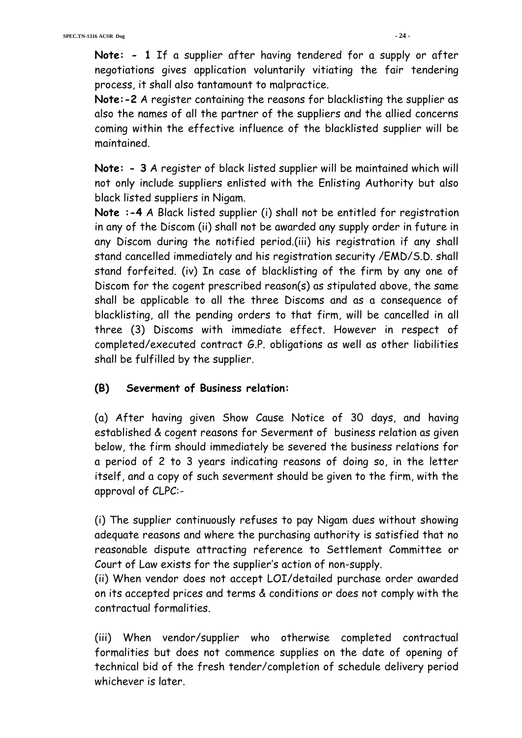**Note: - 1** If a supplier after having tendered for a supply or after negotiations gives application voluntarily vitiating the fair tendering process, it shall also tantamount to malpractice.

**Note:-2** A register containing the reasons for blacklisting the supplier as also the names of all the partner of the suppliers and the allied concerns coming within the effective influence of the blacklisted supplier will be maintained.

**Note: - 3** A register of black listed supplier will be maintained which will not only include suppliers enlisted with the Enlisting Authority but also black listed suppliers in Nigam.

**Note :-4** A Black listed supplier (i) shall not be entitled for registration in any of the Discom (ii) shall not be awarded any supply order in future in any Discom during the notified period.(iii) his registration if any shall stand cancelled immediately and his registration security /EMD/S.D. shall stand forfeited. (iv) In case of blacklisting of the firm by any one of Discom for the cogent prescribed reason(s) as stipulated above, the same shall be applicable to all the three Discoms and as a consequence of blacklisting, all the pending orders to that firm, will be cancelled in all three (3) Discoms with immediate effect. However in respect of completed/executed contract G.P. obligations as well as other liabilities shall be fulfilled by the supplier.

## **(B) Severment of Business relation:**

(a) After having given Show Cause Notice of 30 days, and having established & cogent reasons for Severment of business relation as given below, the firm should immediately be severed the business relations for a period of 2 to 3 years indicating reasons of doing so, in the letter itself, and a copy of such severment should be given to the firm, with the approval of CLPC:-

(i) The supplier continuously refuses to pay Nigam dues without showing adequate reasons and where the purchasing authority is satisfied that no reasonable dispute attracting reference to Settlement Committee or Court of Law exists for the supplier's action of non-supply.

(ii) When vendor does not accept LOI/detailed purchase order awarded on its accepted prices and terms & conditions or does not comply with the contractual formalities.

(iii) When vendor/supplier who otherwise completed contractual formalities but does not commence supplies on the date of opening of technical bid of the fresh tender/completion of schedule delivery period whichever is later.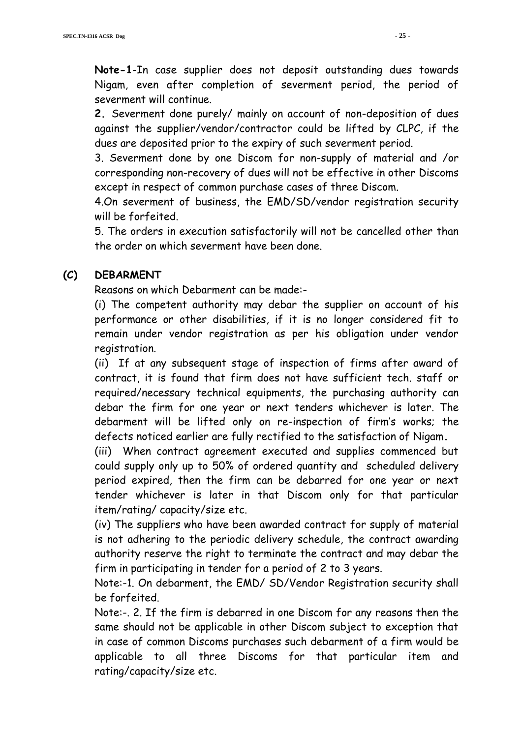**Note-1**-In case supplier does not deposit outstanding dues towards Nigam, even after completion of severment period, the period of severment will continue.

**2.** Severment done purely/ mainly on account of non-deposition of dues against the supplier/vendor/contractor could be lifted by CLPC, if the dues are deposited prior to the expiry of such severment period.

3. Severment done by one Discom for non-supply of material and /or corresponding non-recovery of dues will not be effective in other Discoms except in respect of common purchase cases of three Discom.

4.On severment of business, the EMD/SD/vendor registration security will be forfeited.

5. The orders in execution satisfactorily will not be cancelled other than the order on which severment have been done.

## **(C) DEBARMENT**

Reasons on which Debarment can be made:-

(i) The competent authority may debar the supplier on account of his performance or other disabilities, if it is no longer considered fit to remain under vendor registration as per his obligation under vendor registration.

(ii) If at any subsequent stage of inspection of firms after award of contract, it is found that firm does not have sufficient tech. staff or required/necessary technical equipments, the purchasing authority can debar the firm for one year or next tenders whichever is later. The debarment will be lifted only on re-inspection of firm's works; the defects noticed earlier are fully rectified to the satisfaction of Nigam**.** 

(iii) When contract agreement executed and supplies commenced but could supply only up to 50% of ordered quantity and scheduled delivery period expired, then the firm can be debarred for one year or next tender whichever is later in that Discom only for that particular item/rating/ capacity/size etc.

(iv) The suppliers who have been awarded contract for supply of material is not adhering to the periodic delivery schedule, the contract awarding authority reserve the right to terminate the contract and may debar the firm in participating in tender for a period of 2 to 3 years.

Note:-1. On debarment, the EMD/ SD/Vendor Registration security shall be forfeited.

Note:-. 2. If the firm is debarred in one Discom for any reasons then the same should not be applicable in other Discom subject to exception that in case of common Discoms purchases such debarment of a firm would be applicable to all three Discoms for that particular item and rating/capacity/size etc.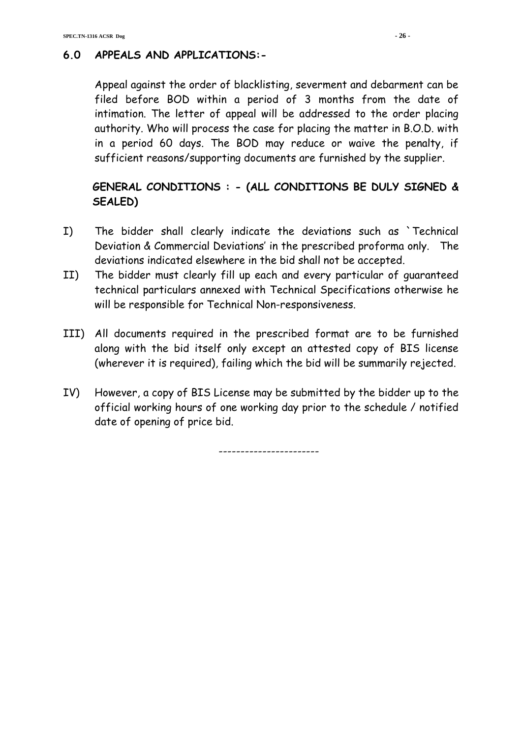# **6.0 APPEALS AND APPLICATIONS:-**

Appeal against the order of blacklisting, severment and debarment can be filed before BOD within a period of 3 months from the date of intimation. The letter of appeal will be addressed to the order placing authority. Who will process the case for placing the matter in B.O.D. with in a period 60 days. The BOD may reduce or waive the penalty, if sufficient reasons/supporting documents are furnished by the supplier.

# **GENERAL CONDITIONS : - (ALL CONDITIONS BE DULY SIGNED & SEALED)**

- I) The bidder shall clearly indicate the deviations such as `Technical Deviation & Commercial Deviations' in the prescribed proforma only. The deviations indicated elsewhere in the bid shall not be accepted.
- II) The bidder must clearly fill up each and every particular of guaranteed technical particulars annexed with Technical Specifications otherwise he will be responsible for Technical Non-responsiveness.
- III) All documents required in the prescribed format are to be furnished along with the bid itself only except an attested copy of BIS license (wherever it is required), failing which the bid will be summarily rejected.
- IV) However, a copy of BIS License may be submitted by the bidder up to the official working hours of one working day prior to the schedule / notified date of opening of price bid.

-----------------------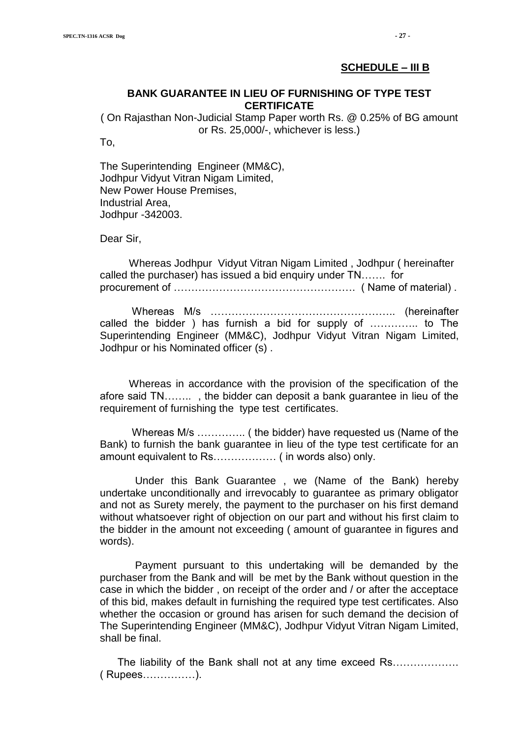#### **SCHEDULE – III B**

#### **BANK GUARANTEE IN LIEU OF FURNISHING OF TYPE TEST CERTIFICATE**

( On Rajasthan Non-Judicial Stamp Paper worth Rs. @ 0.25% of BG amount or Rs. 25,000/-, whichever is less.)

To,

The Superintending Engineer (MM&C), Jodhpur Vidyut Vitran Nigam Limited, New Power House Premises, Industrial Area, Jodhpur -342003.

Dear Sir,

 Whereas Jodhpur Vidyut Vitran Nigam Limited , Jodhpur ( hereinafter called the purchaser) has issued a bid enquiry under TN……. for procurement of ……………………………………………. ( Name of material) .

 Whereas M/s …………………………………………….. (hereinafter called the bidder ) has furnish a bid for supply of ………….. to The Superintending Engineer (MM&C), Jodhpur Vidyut Vitran Nigam Limited, Jodhpur or his Nominated officer (s) .

 Whereas in accordance with the provision of the specification of the afore said TN…….. , the bidder can deposit a bank guarantee in lieu of the requirement of furnishing the type test certificates.

 Whereas M/s ………….. ( the bidder) have requested us (Name of the Bank) to furnish the bank guarantee in lieu of the type test certificate for an amount equivalent to Rs……………… ( in words also) only.

 Under this Bank Guarantee , we (Name of the Bank) hereby undertake unconditionally and irrevocably to guarantee as primary obligator and not as Surety merely, the payment to the purchaser on his first demand without whatsoever right of objection on our part and without his first claim to the bidder in the amount not exceeding ( amount of guarantee in figures and words).

 Payment pursuant to this undertaking will be demanded by the purchaser from the Bank and will be met by the Bank without question in the case in which the bidder , on receipt of the order and / or after the acceptace of this bid, makes default in furnishing the required type test certificates. Also whether the occasion or ground has arisen for such demand the decision of The Superintending Engineer (MM&C), Jodhpur Vidyut Vitran Nigam Limited, shall be final.

 The liability of the Bank shall not at any time exceed Rs………………. ( Rupees……………).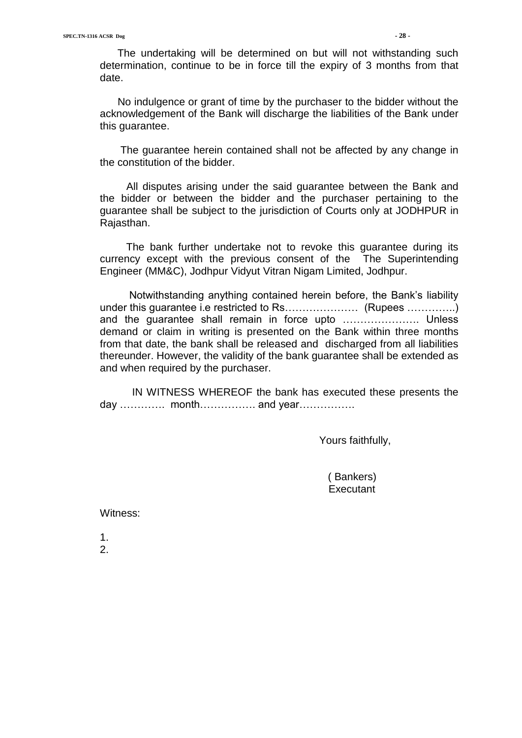The undertaking will be determined on but will not withstanding such determination, continue to be in force till the expiry of 3 months from that date.

 No indulgence or grant of time by the purchaser to the bidder without the acknowledgement of the Bank will discharge the liabilities of the Bank under this guarantee.

 The guarantee herein contained shall not be affected by any change in the constitution of the bidder.

 All disputes arising under the said guarantee between the Bank and the bidder or between the bidder and the purchaser pertaining to the guarantee shall be subject to the jurisdiction of Courts only at JODHPUR in Rajasthan.

 The bank further undertake not to revoke this guarantee during its currency except with the previous consent of the The Superintending Engineer (MM&C), Jodhpur Vidyut Vitran Nigam Limited, Jodhpur.

 Notwithstanding anything contained herein before, the Bank"s liability under this guarantee i.e restricted to Rs………………… (Rupees …………..) and the guarantee shall remain in force upto …………………. Unless demand or claim in writing is presented on the Bank within three months from that date, the bank shall be released and discharged from all liabilities thereunder. However, the validity of the bank guarantee shall be extended as and when required by the purchaser.

 IN WITNESS WHEREOF the bank has executed these presents the day …………. month……………. and year…………….

Yours faithfully,

 ( Bankers) **Executant** 

Witness:

1. 2.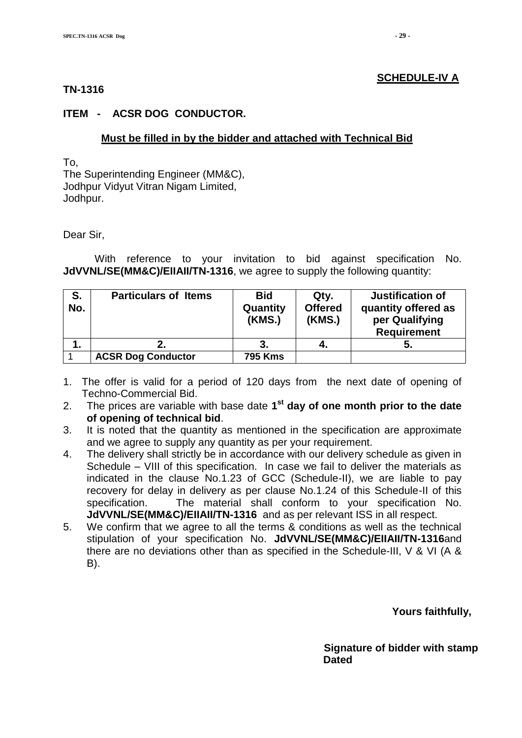#### **SCHEDULE-IV A**

#### **TN-1316**

#### **ITEM - ACSR DOG CONDUCTOR.**

#### **Must be filled in by the bidder and attached with Technical Bid**

To, The Superintending Engineer (MM&C), Jodhpur Vidyut Vitran Nigam Limited, Jodhpur.

Dear Sir,

With reference to your invitation to bid against specification No. **JdVVNL/SE(MM&C)/EIIAII/TN-1316**, we agree to supply the following quantity:

| S.<br>No. | <b>Particulars of Items</b> | <b>Bid</b><br>Quantity<br>(KMS.) | Qty.<br><b>Offered</b><br>(KMS.) | Justification of<br>quantity offered as<br>per Qualifying<br><b>Requirement</b> |
|-----------|-----------------------------|----------------------------------|----------------------------------|---------------------------------------------------------------------------------|
| 1.        |                             |                                  | 4.                               |                                                                                 |
|           | <b>ACSR Dog Conductor</b>   | <b>795 Kms</b>                   |                                  |                                                                                 |

- 1. The offer is valid for a period of 120 days from the next date of opening of Techno-Commercial Bid.
- 2. The prices are variable with base date **1 st day of one month prior to the date of opening of technical bid**.
- 3. It is noted that the quantity as mentioned in the specification are approximate and we agree to supply any quantity as per your requirement.
- 4. The delivery shall strictly be in accordance with our delivery schedule as given in Schedule – VIII of this specification. In case we fail to deliver the materials as indicated in the clause No.1.23 of GCC (Schedule-II), we are liable to pay recovery for delay in delivery as per clause No.1.24 of this Schedule-II of this specification. The material shall conform to your specification No. **JdVVNL/SE(MM&C)/EIIAII/TN-1316** and as per relevant ISS in all respect.
- 5. We confirm that we agree to all the terms & conditions as well as the technical stipulation of your specification No. **JdVVNL/SE(MM&C)/EIIAII/TN-1316**and there are no deviations other than as specified in the Schedule-III, V & VI (A & B).

 **Yours faithfully,** 

 **Signature of bidder with stamp**  *Dated* **Dated**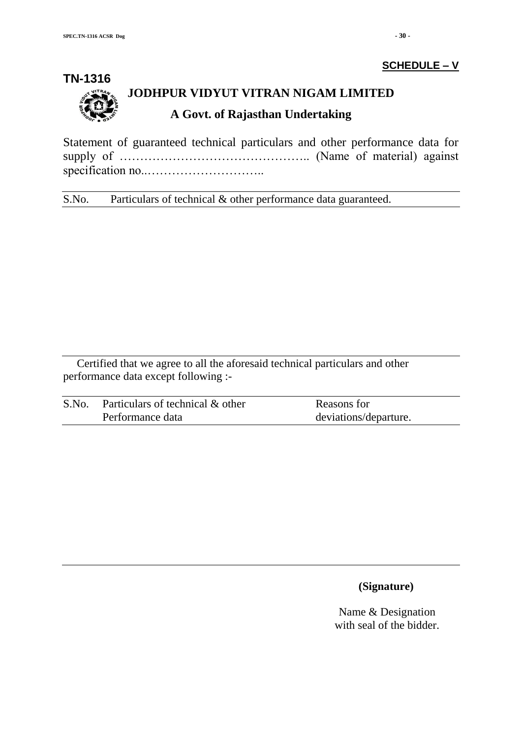# **SCHEDULE – V**



# **JODHPUR VIDYUT VITRAN NIGAM LIMITED A Govt. of Rajasthan Undertaking**

Statement of guaranteed technical particulars and other performance data for supply of ……………………………………….. (Name of material) against specification no..………………………..

S.No. Particulars of technical & other performance data guaranteed.

Certified that we agree to all the aforesaid technical particulars and other performance data except following :-

| S.No. | Particulars of technical & other | Reasons for           |
|-------|----------------------------------|-----------------------|
|       | Performance data                 | deviations/departure. |

#### **(Signature)**

Name & Designation with seal of the bidder.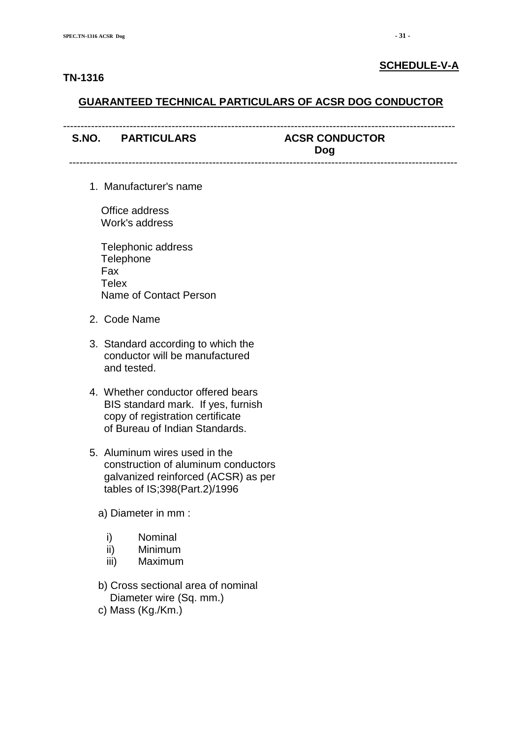#### **TN-1316**

#### **SCHEDULE-V-A**

#### **GUARANTEED TECHNICAL PARTICULARS OF ACSR DOG CONDUCTOR**

| S.NO. PARTICULARS | <b>ACSR CONDUCTOR</b><br>Dog |
|-------------------|------------------------------|
|                   |                              |

1. Manufacturer's name

 Office address Work's address

 Telephonic address **Telephone**  Fax **Telex** Name of Contact Person

- 2. Code Name
- 3. Standard according to which the conductor will be manufactured and tested.
- 4. Whether conductor offered bears BIS standard mark. If yes, furnish copy of registration certificate of Bureau of Indian Standards.
- 5. Aluminum wires used in the construction of aluminum conductors galvanized reinforced (ACSR) as per tables of IS;398(Part.2)/1996
	- a) Diameter in mm :
		- i) Nominal
		- ii) Minimum
		- iii) Maximum
	- b) Cross sectional area of nominal Diameter wire (Sq. mm.)
	- c) Mass (Kg./Km.)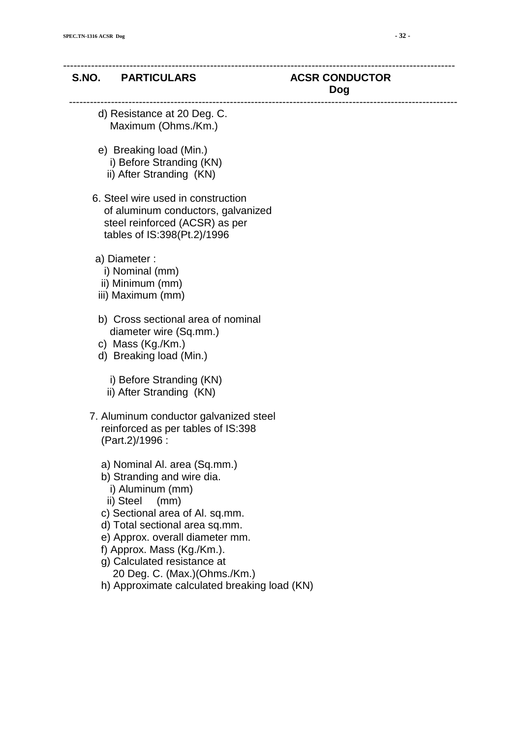#### S.NO. PARTICULARS ACSR CONDUCTOR

# **Dog**

---------------------------------------------------------------------------------------------------------------

----------------------------------------------------------------------------------------------------------------

- d) Resistance at 20 Deg. C. Maximum (Ohms./Km.)
- e) Breaking load (Min.) i) Before Stranding (KN)
	- ii) After Stranding (KN)
- 6. Steel wire used in construction of aluminum conductors, galvanized steel reinforced (ACSR) as per tables of IS:398(Pt.2)/1996
- a) Diameter :
	- i) Nominal (mm)
	- ii) Minimum (mm)
- iii) Maximum (mm)
- b) Cross sectional area of nominal diameter wire (Sq.mm.)
- c) Mass (Kg./Km.)
- d) Breaking load (Min.)
	- i) Before Stranding (KN)
	- ii) After Stranding (KN)
- 7. Aluminum conductor galvanized steel reinforced as per tables of IS:398 (Part.2)/1996 :
	- a) Nominal Al. area (Sq.mm.)
	- b) Stranding and wire dia.
		- i) Aluminum (mm)
		- ii) Steel (mm)
	- c) Sectional area of Al. sq.mm.
	- d) Total sectional area sq.mm.
	- e) Approx. overall diameter mm.
	- f) Approx. Mass (Kg./Km.).
	- g) Calculated resistance at 20 Deg. C. (Max.)(Ohms./Km.)
	- h) Approximate calculated breaking load (KN)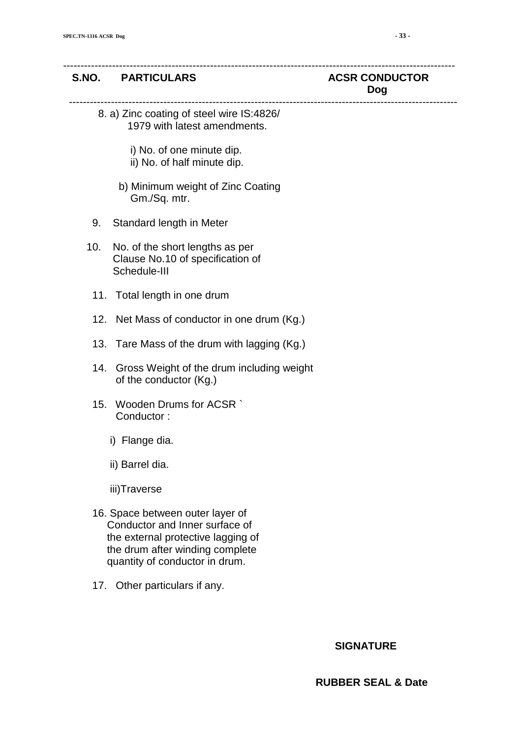#### S.NO. PARTICULARS ACSR CONDUCTOR

# **Dog**

 8. a) Zinc coating of steel wire IS:4826/ 1979 with latest amendments.

----------------------------------------------------------------------------------------------------------------

---------------------------------------------------------------------------------------------------------------

- i) No. of one minute dip.
- ii) No. of half minute dip.
- b) Minimum weight of Zinc Coating Gm./Sq. mtr.
- 9. Standard length in Meter
- 10. No. of the short lengths as per Clause No.10 of specification of Schedule-III
	- 11. Total length in one drum
	- 12. Net Mass of conductor in one drum (Kg.)
	- 13. Tare Mass of the drum with lagging (Kg.)
	- 14. Gross Weight of the drum including weight of the conductor (Kg.)
	- 15. Wooden Drums for ACSR ` Conductor :
		- i) Flange dia.
		- ii) Barrel dia.
		- iii)Traverse
	- 16. Space between outer layer of Conductor and Inner surface of the external protective lagging of the drum after winding complete quantity of conductor in drum.
	- 17. Other particulars if any.

#### **SIGNATURE**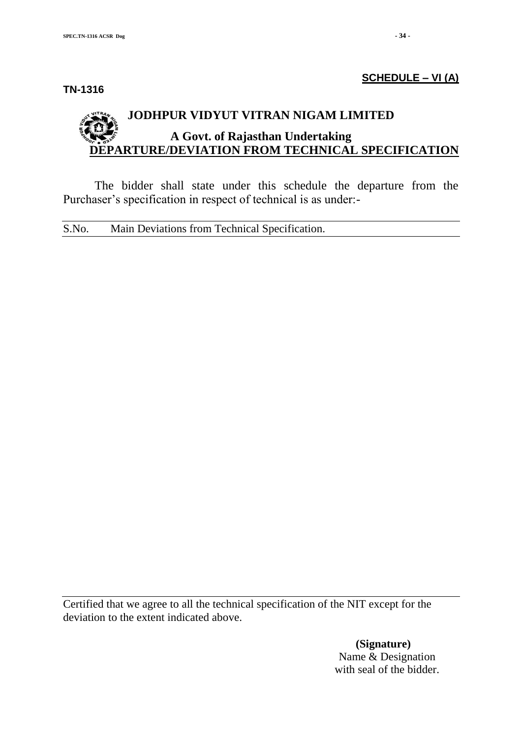**TN-1316**

#### **SCHEDULE – VI (A)**

# **JODHPUR VIDYUT VITRAN NIGAM LIMITED A Govt. of Rajasthan Undertaking DEPARTURE/DEVIATION FROM TECHNICAL SPECIFICATION**

The bidder shall state under this schedule the departure from the Purchaser's specification in respect of technical is as under:-

S.No. Main Deviations from Technical Specification.

Certified that we agree to all the technical specification of the NIT except for the deviation to the extent indicated above.

> **(Signature)** Name & Designation with seal of the bidder.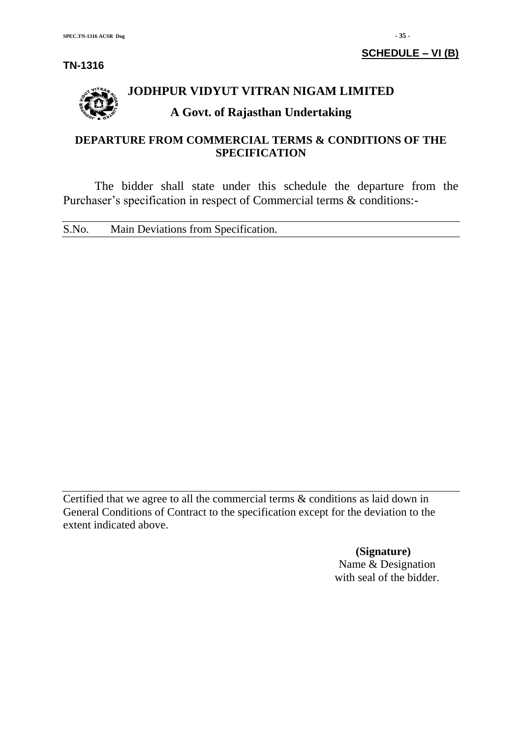

# **JODHPUR VIDYUT VITRAN NIGAM LIMITED**

# **A Govt. of Rajasthan Undertaking**

# **DEPARTURE FROM COMMERCIAL TERMS & CONDITIONS OF THE SPECIFICATION**

The bidder shall state under this schedule the departure from the Purchaser's specification in respect of Commercial terms & conditions:-

S.No. Main Deviations from Specification.

Certified that we agree to all the commercial terms & conditions as laid down in General Conditions of Contract to the specification except for the deviation to the extent indicated above.

> **(Signature)** Name & Designation with seal of the bidder.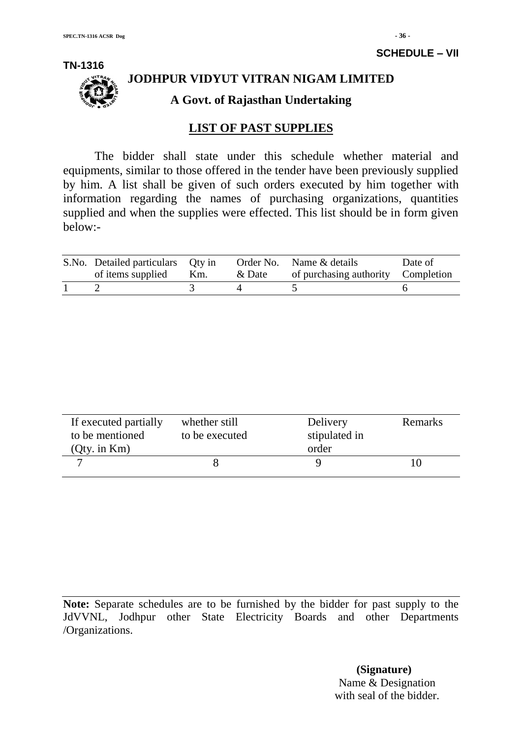

# **JODHPUR VIDYUT VITRAN NIGAM LIMITED**

**A Govt. of Rajasthan Undertaking**

## **LIST OF PAST SUPPLIES**

The bidder shall state under this schedule whether material and equipments, similar to those offered in the tender have been previously supplied by him. A list shall be given of such orders executed by him together with information regarding the names of purchasing organizations, quantities supplied and when the supplies were effected. This list should be in form given below:-

| S.No. Detailed particulars Qty in<br>of items supplied | Km. | & Date | Order No. Name & details<br>of purchasing authority Completion | Date of |
|--------------------------------------------------------|-----|--------|----------------------------------------------------------------|---------|
|                                                        |     |        |                                                                |         |

| If executed partially<br>to be mentioned<br>$Q$ ty. in $Km$ ) | whether still<br>to be executed | Delivery<br>stipulated in<br>order | Remarks |
|---------------------------------------------------------------|---------------------------------|------------------------------------|---------|
|                                                               |                                 |                                    |         |

**Note:** Separate schedules are to be furnished by the bidder for past supply to the JdVVNL, Jodhpur other State Electricity Boards and other Departments /Organizations.

> **(Signature)** Name & Designation with seal of the bidder.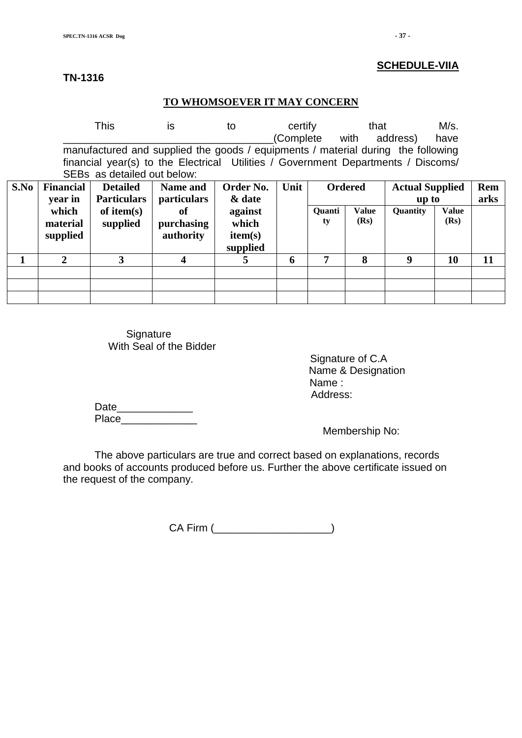#### **TN-1316**

#### **TO WHOMSOEVER IT MAY CONCERN**

|      |                                                                                                                                                                                                      | <b>This</b>               | is                          | to                  | certify | (Complete with | that                 | address)               | M/s.<br>have         |      |
|------|------------------------------------------------------------------------------------------------------------------------------------------------------------------------------------------------------|---------------------------|-----------------------------|---------------------|---------|----------------|----------------------|------------------------|----------------------|------|
|      | manufactured and supplied the goods / equipments / material during the following<br>financial year(s) to the Electrical Utilities / Government Departments / Discoms/<br>SEBs as detailed out below: |                           |                             |                     |         |                |                      |                        |                      |      |
| S.No | <b>Financial</b>                                                                                                                                                                                     | <b>Detailed</b>           | <b>Name and</b>             | Order No.           | Unit    |                | <b>Ordered</b>       | <b>Actual Supplied</b> |                      | Rem  |
|      | year in                                                                                                                                                                                              | <b>Particulars</b>        | <i>particulars</i>          | & date              |         |                |                      | up to                  |                      | arks |
|      | which<br>material                                                                                                                                                                                    | of item $(s)$<br>supplied | <sub>of</sub><br>purchasing | against<br>which    |         | Quanti<br>ty   | <b>Value</b><br>(Rs) | Quantity               | <b>Value</b><br>(Rs) |      |
|      | supplied                                                                                                                                                                                             |                           | authority                   | item(s)<br>supplied |         |                |                      |                        |                      |      |
|      | $\mathbf{2}$                                                                                                                                                                                         | 3                         | 4                           | 5                   | 6       | 7              | 8                    | 9                      | 10                   | 11   |
|      |                                                                                                                                                                                                      |                           |                             |                     |         |                |                      |                        |                      |      |
|      |                                                                                                                                                                                                      |                           |                             |                     |         |                |                      |                        |                      |      |
|      |                                                                                                                                                                                                      |                           |                             |                     |         |                |                      |                        |                      |      |

**Signature** With Seal of the Bidder

> Signature of C.A Name & Designation Name : Address:

Date\_\_\_\_\_\_\_\_\_\_\_\_\_ Place\_\_\_\_\_\_\_\_\_\_\_\_\_

Membership No:

The above particulars are true and correct based on explanations, records and books of accounts produced before us. Further the above certificate issued on the request of the company.

CA Firm (\_\_\_\_\_\_\_\_\_\_\_\_\_\_\_\_\_\_\_\_)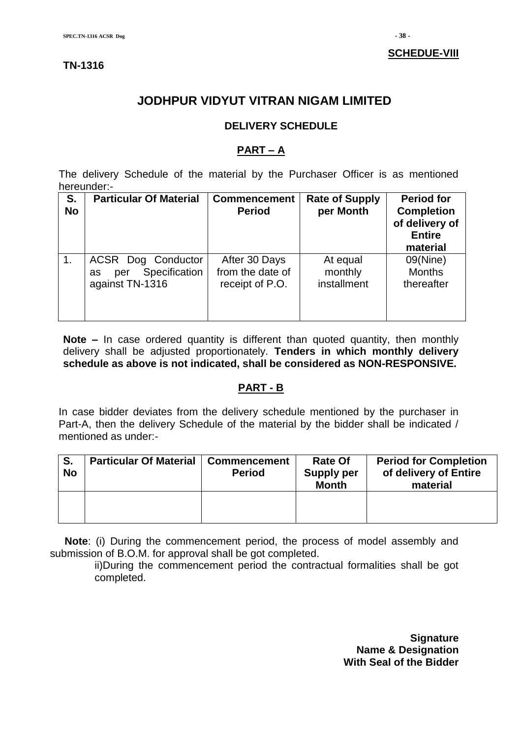### **TN-1316**

# **JODHPUR VIDYUT VITRAN NIGAM LIMITED**

#### **DELIVERY SCHEDULE**

#### **PART – A**

The delivery Schedule of the material by the Purchaser Officer is as mentioned hereunder:-

| S.<br><b>No</b> | <b>Particular Of Material</b>                                       | <b>Commencement</b><br><b>Period</b>                 | <b>Rate of Supply</b><br>per Month | <b>Period for</b><br><b>Completion</b><br>of delivery of<br><b>Entire</b><br>material |
|-----------------|---------------------------------------------------------------------|------------------------------------------------------|------------------------------------|---------------------------------------------------------------------------------------|
| $\mathbf{1}$ .  | ACSR Dog Conductor<br>Specification<br>per<br>as<br>against TN-1316 | After 30 Days<br>from the date of<br>receipt of P.O. | At equal<br>monthly<br>installment | 09(Nine)<br><b>Months</b><br>thereafter                                               |

**Note –** In case ordered quantity is different than quoted quantity, then monthly delivery shall be adjusted proportionately. **Tenders in which monthly delivery schedule as above is not indicated, shall be considered as NON-RESPONSIVE.**

#### **PART - B**

In case bidder deviates from the delivery schedule mentioned by the purchaser in Part-A, then the delivery Schedule of the material by the bidder shall be indicated / mentioned as under:-

| S.<br><b>No</b> | <b>Particular Of Material</b> | <b>Commencement</b><br><b>Period</b> | <b>Rate Of</b><br><b>Supply per</b><br><b>Month</b> | <b>Period for Completion</b><br>of delivery of Entire<br>material |
|-----------------|-------------------------------|--------------------------------------|-----------------------------------------------------|-------------------------------------------------------------------|
|                 |                               |                                      |                                                     |                                                                   |

 **Note**: (i) During the commencement period, the process of model assembly and submission of B.O.M. for approval shall be got completed.

ii)During the commencement period the contractual formalities shall be got completed.

> **Signature Name & Designation With Seal of the Bidder**